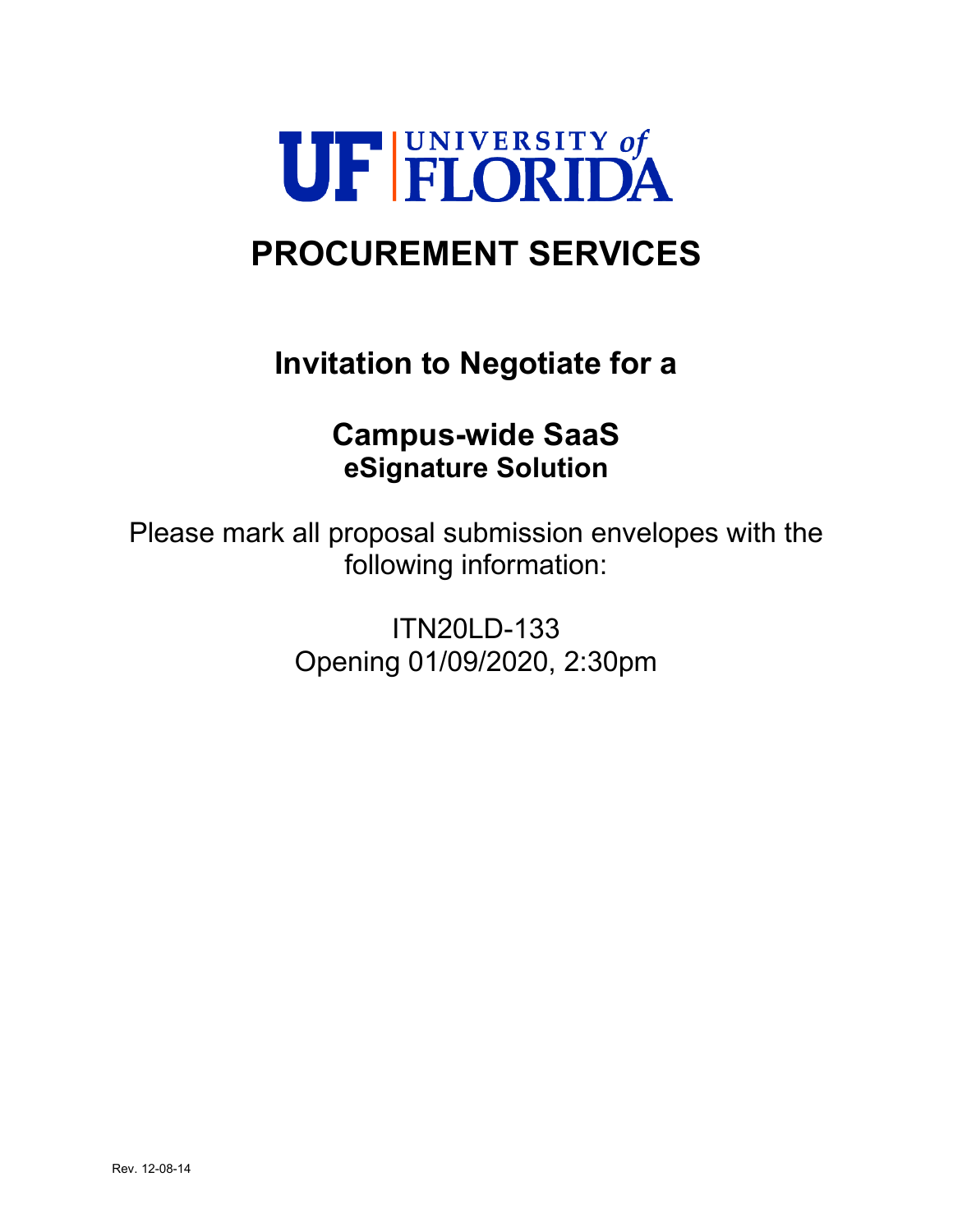

# **PROCUREMENT SERVICES**

# **Invitation to Negotiate for a**

## **Campus-wide SaaS eSignature Solution**

Please mark all proposal submission envelopes with the following information:

> ITN20LD-133 Opening 01/09/2020, 2:30pm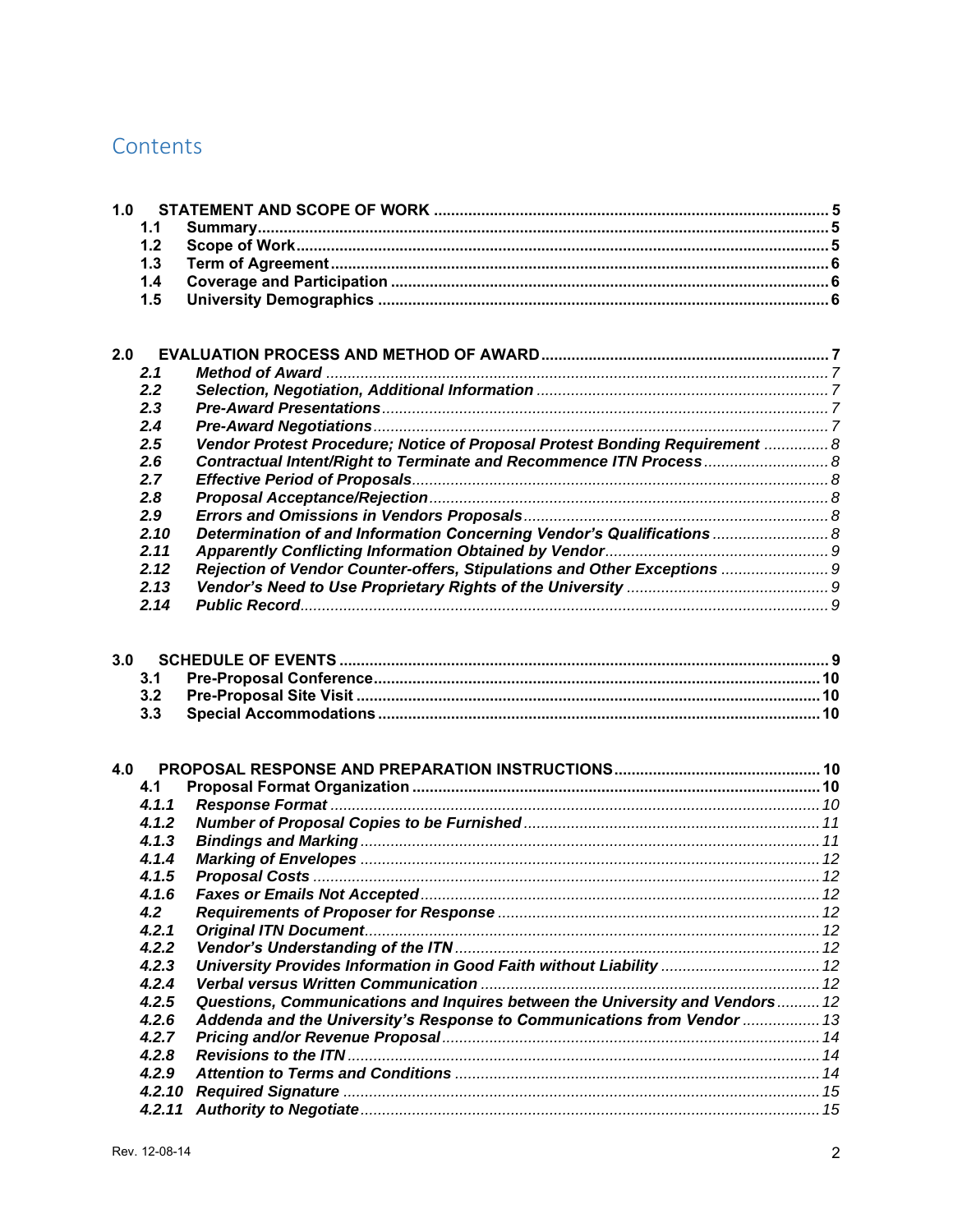## Contents

| 1.0 |        |                                                                              |  |
|-----|--------|------------------------------------------------------------------------------|--|
|     | 1.1    |                                                                              |  |
|     | 1.2    |                                                                              |  |
|     | 1.3    |                                                                              |  |
|     | 1.4    |                                                                              |  |
|     | 1.5    |                                                                              |  |
|     |        |                                                                              |  |
|     |        |                                                                              |  |
| 2.0 |        |                                                                              |  |
|     | 2.1    |                                                                              |  |
|     | 2.2    |                                                                              |  |
|     | 2.3    |                                                                              |  |
|     | 2.4    |                                                                              |  |
|     | 2.5    | Vendor Protest Procedure; Notice of Proposal Protest Bonding Requirement  8  |  |
|     | 2.6    | Contractual Intent/Right to Terminate and Recommence ITN Process 8           |  |
|     | 2.7    |                                                                              |  |
|     | 2.8    |                                                                              |  |
|     | 2.9    |                                                                              |  |
|     | 2.10   | Determination of and Information Concerning Vendor's Qualifications  8       |  |
|     | 2.11   |                                                                              |  |
|     | 2.12   | Rejection of Vendor Counter-offers, Stipulations and Other Exceptions  9     |  |
|     | 2.13   |                                                                              |  |
|     | 2.14   |                                                                              |  |
|     |        |                                                                              |  |
| 3.0 |        |                                                                              |  |
|     | 3.1    |                                                                              |  |
|     | 3.2    |                                                                              |  |
|     | 3.3    |                                                                              |  |
|     |        |                                                                              |  |
| 4.0 |        |                                                                              |  |
|     | 4.1    |                                                                              |  |
|     | 4.1.1  |                                                                              |  |
|     | 4.1.2  |                                                                              |  |
|     | 4.1.3  |                                                                              |  |
|     | 4.1.4  |                                                                              |  |
|     | 4.1.5  |                                                                              |  |
|     | 4.1.6  |                                                                              |  |
|     | 4.2    |                                                                              |  |
|     | 4.2.1  |                                                                              |  |
|     | 4.2.2  |                                                                              |  |
|     | 4.2.3  | University Provides Information in Good Faith without Liability  12          |  |
|     | 4.2.4  |                                                                              |  |
|     | 4.2.5  | Questions, Communications and Inquires between the University and Vendors 12 |  |
|     | 4.2.6  | Addenda and the University's Response to Communications from Vendor  13      |  |
|     | 4.2.7  |                                                                              |  |
|     | 4.2.8  |                                                                              |  |
|     | 4.2.9  |                                                                              |  |
|     | 4.2.10 |                                                                              |  |
|     | 4.2.11 |                                                                              |  |
|     |        |                                                                              |  |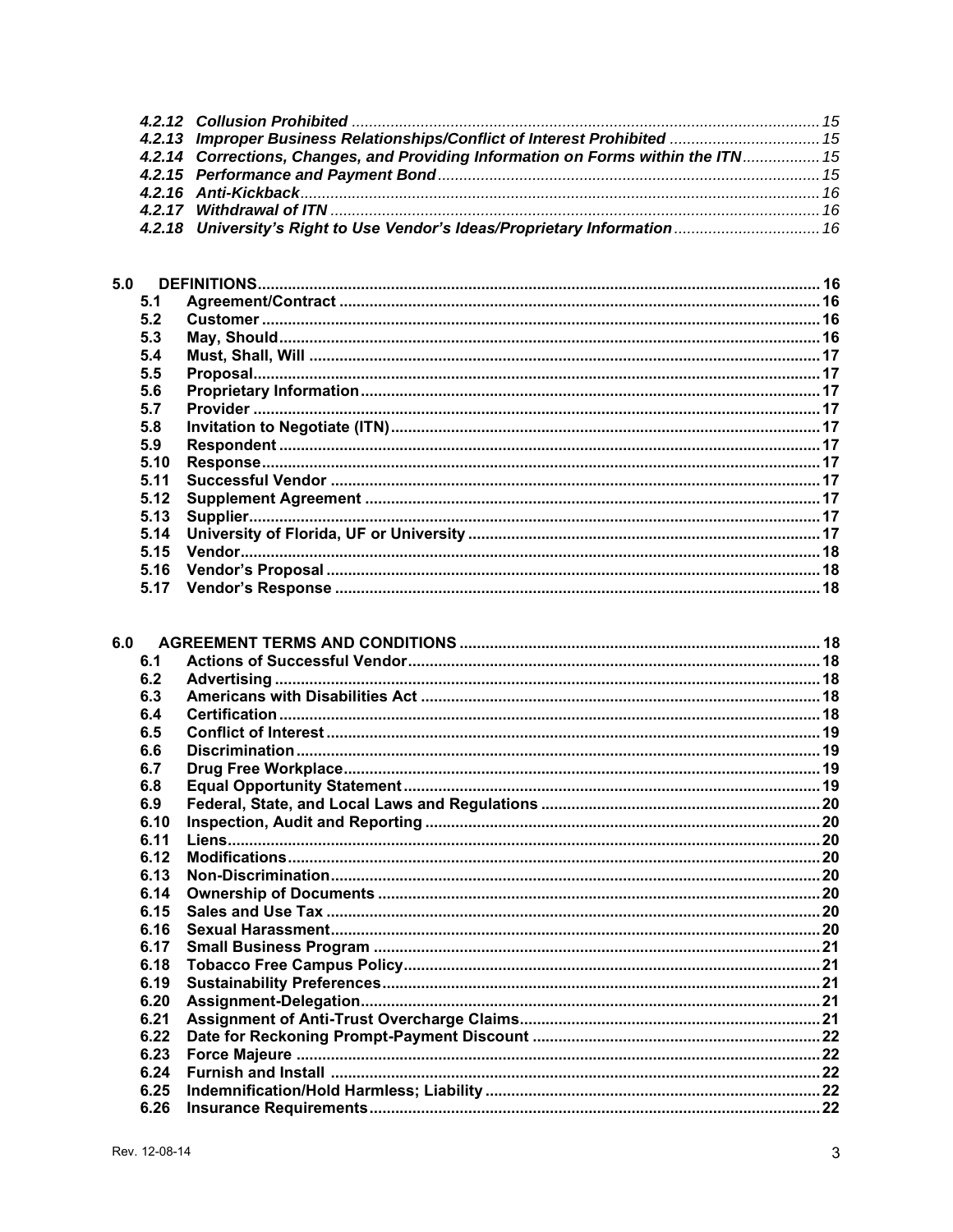| 4.2.13 Improper Business Relationships/Conflict of Interest Prohibited  15        |  |
|-----------------------------------------------------------------------------------|--|
| 4.2.14 Corrections, Changes, and Providing Information on Forms within the ITN 15 |  |
|                                                                                   |  |
|                                                                                   |  |
|                                                                                   |  |
| 4.2.18 University's Right to Use Vendor's Ideas/Proprietary Information  16       |  |

| 5.0 |      |  |
|-----|------|--|
|     | 5.1  |  |
|     | 5.2  |  |
|     | 5.3  |  |
|     | 5.4  |  |
|     | 5.5  |  |
|     | 5.6  |  |
|     | 57   |  |
|     | 5.8  |  |
|     | 5.9  |  |
|     | 5.10 |  |
|     | 5.11 |  |
|     | 5.12 |  |
|     | 5.13 |  |
|     | 5.14 |  |
|     | 5.15 |  |
|     | 5.16 |  |
|     | 5.17 |  |
|     |      |  |

| 6.1  |  |
|------|--|
| 6.2  |  |
| 6.3  |  |
| 6.4  |  |
| 6.5  |  |
| 6.6  |  |
| 6.7  |  |
| 6.8  |  |
| 6.9  |  |
| 6.10 |  |
| 6.11 |  |
| 6.12 |  |
| 6.13 |  |
| 6.14 |  |
| 6.15 |  |
| 6.16 |  |
| 6.17 |  |
| 6.18 |  |
| 6.19 |  |
| 6.20 |  |
| 6.21 |  |
| 6.22 |  |
| 6.23 |  |
| 6.24 |  |
| 6.25 |  |
| 6.26 |  |
|      |  |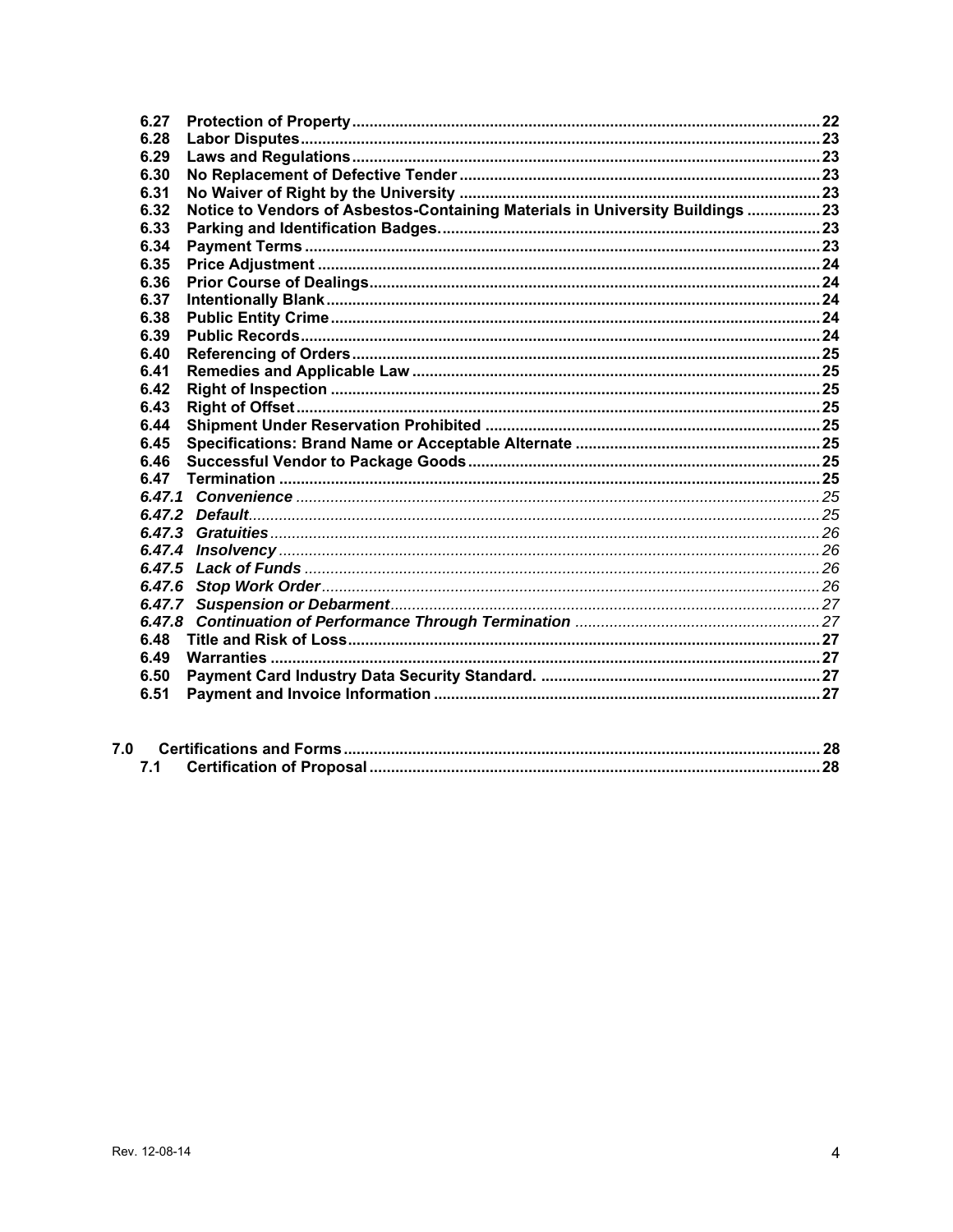| 6.27   |                                                                                |  |
|--------|--------------------------------------------------------------------------------|--|
| 6.28   |                                                                                |  |
| 6.29   |                                                                                |  |
| 6.30   |                                                                                |  |
| 6.31   |                                                                                |  |
| 6.32   | Notice to Vendors of Asbestos-Containing Materials in University Buildings  23 |  |
| 6.33   |                                                                                |  |
| 6.34   |                                                                                |  |
| 6.35   |                                                                                |  |
| 6.36   |                                                                                |  |
| 6.37   |                                                                                |  |
| 6.38   |                                                                                |  |
| 6.39   |                                                                                |  |
| 6.40   |                                                                                |  |
| 6.41   |                                                                                |  |
| 6.42   |                                                                                |  |
| 6.43   |                                                                                |  |
| 6.44   |                                                                                |  |
| 6.45   |                                                                                |  |
| 6.46   |                                                                                |  |
| 6.47   |                                                                                |  |
|        |                                                                                |  |
|        |                                                                                |  |
|        |                                                                                |  |
| 6.47.4 |                                                                                |  |
| 6.47.5 |                                                                                |  |
|        |                                                                                |  |
|        |                                                                                |  |
| 6.47.8 |                                                                                |  |
| 6.48   |                                                                                |  |
| 6.49   |                                                                                |  |
| 6.50   |                                                                                |  |
| 6.51   |                                                                                |  |
|        |                                                                                |  |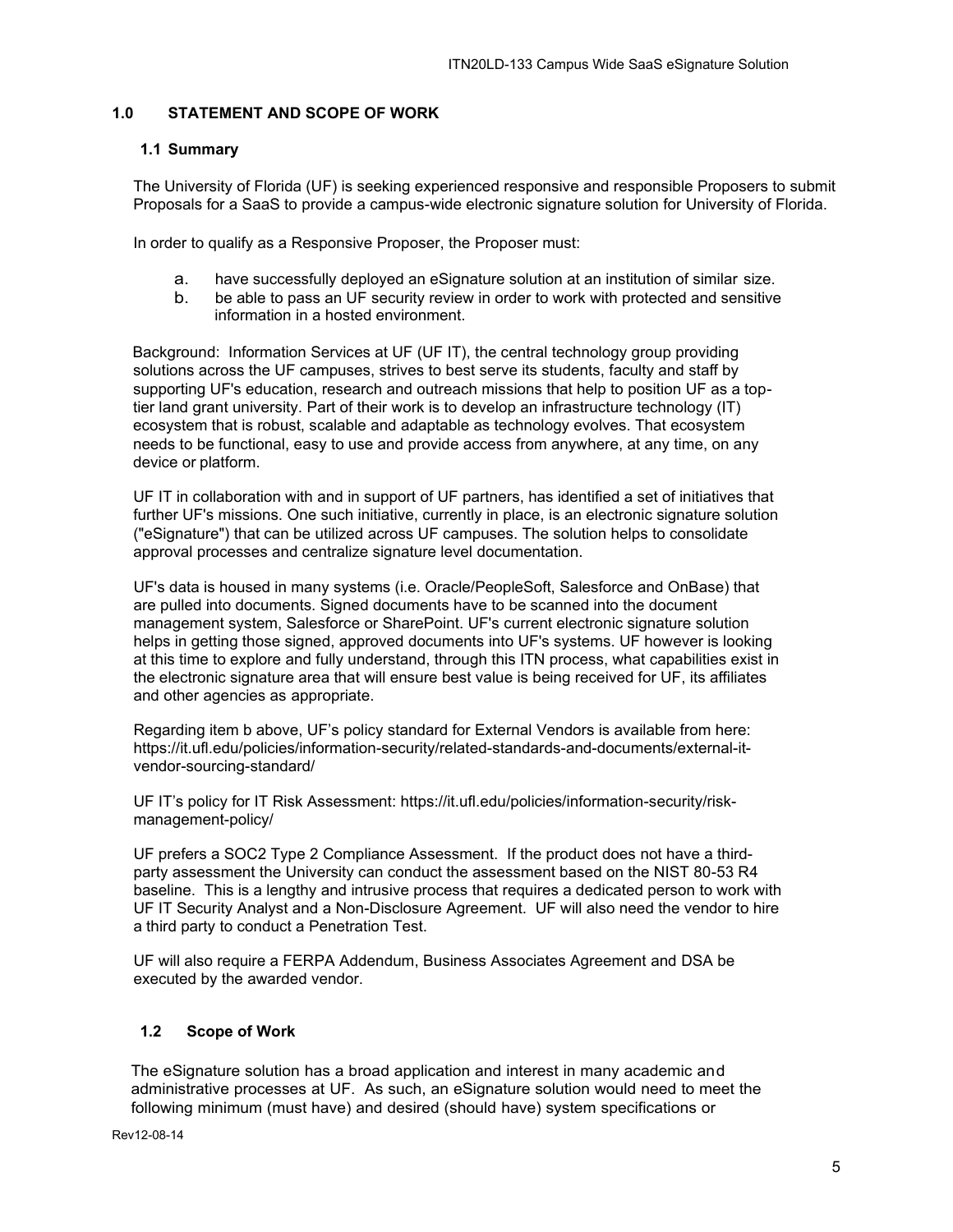## <span id="page-4-0"></span>**1.0 STATEMENT AND SCOPE OF WORK**

### <span id="page-4-1"></span>**1.1 Summary**

The University of Florida (UF) is seeking experienced responsive and responsible Proposers to submit Proposals for a SaaS to provide a campus-wide electronic signature solution for University of Florida.

In order to qualify as a Responsive Proposer, the Proposer must:

- a. have successfully deployed an eSignature solution at an institution of similar size.
- b. be able to pass an UF security review in order to work with protected and sensitive information in a hosted environment.

Background: Information Services at UF (UF IT), the central technology group providing solutions across the UF campuses, strives to best serve its students, faculty and staff by supporting UF's education, research and outreach missions that help to position UF as a toptier land grant university. Part of their work is to develop an infrastructure technology (IT) ecosystem that is robust, scalable and adaptable as technology evolves. That ecosystem needs to be functional, easy to use and provide access from anywhere, at any time, on any device or platform.

UF IT in collaboration with and in support of UF partners, has identified a set of initiatives that further UF's missions. One such initiative, currently in place, is an electronic signature solution ("eSignature") that can be utilized across UF campuses. The solution helps to consolidate approval processes and centralize signature level documentation.

UF's data is housed in many systems (i.e. Oracle/PeopleSoft, Salesforce and OnBase) that are pulled into documents. Signed documents have to be scanned into the document management system, Salesforce or SharePoint. UF's current electronic signature solution helps in getting those signed, approved documents into UF's systems. UF however is looking at this time to explore and fully understand, through this ITN process, what capabilities exist in the electronic signature area that will ensure best value is being received for UF, its affiliates and other agencies as appropriate.

Regarding item b above, UF's policy standard for External Vendors is available from here: [https://it.ufl.edu/policies/information-security/related-standards-and-documents/external-it](https://it.ufl.edu/policies/information-security/related-standards-and-documents/external-it-vendor-sourcing-standard/)[vendor-sourcing-standard/](https://it.ufl.edu/policies/information-security/related-standards-and-documents/external-it-vendor-sourcing-standard/) 

UF IT's policy for IT Risk Assessment: [https://it.ufl.edu/policies/information-security/risk](https://it.ufl.edu/policies/information-security/risk-management-policy/)[management-policy/](https://it.ufl.edu/policies/information-security/risk-management-policy/) 

UF prefers a SOC2 Type 2 Compliance Assessment. If the product does not have a thirdparty assessment the University can conduct the assessment based on the NIST 80-53 R4 baseline. This is a lengthy and intrusive process that requires a dedicated person to work with UF IT Security Analyst and a Non-Disclosure Agreement. UF will also need the vendor to hire a third party to conduct a Penetration Test.

UF will also require a FERPA Addendum, Business Associates Agreement and DSA be executed by the awarded vendor.

#### <span id="page-4-2"></span>**1.2 Scope of Work**

The eSignature solution has a broad application and interest in many academic and administrative processes at UF. As such, an eSignature solution would need to meet the following minimum (must have) and desired (should have) system specifications or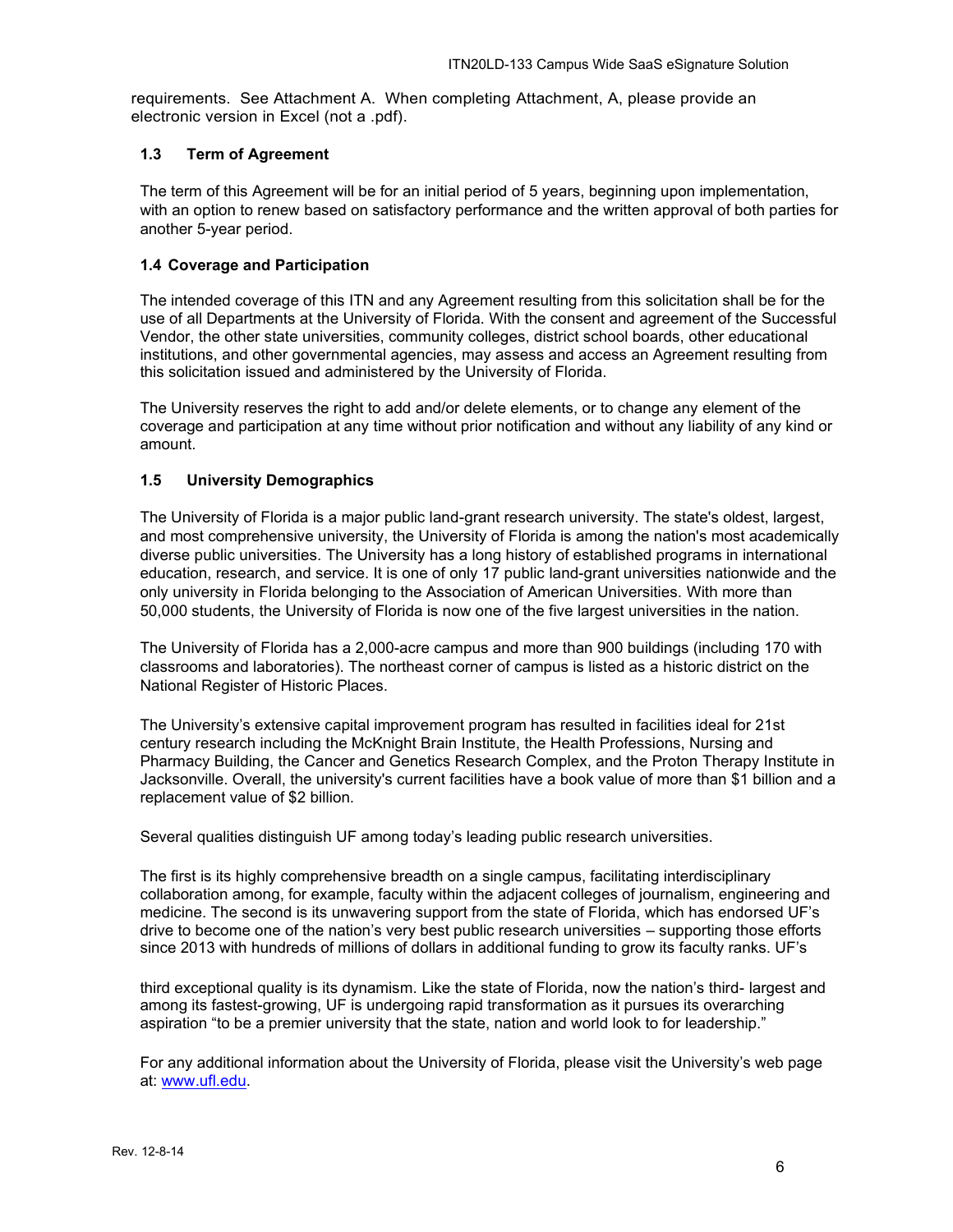requirements. See Attachment A. When completing Attachment, A, please provide an electronic version in Excel (not a .pdf).

## <span id="page-5-0"></span>**1.3 Term of Agreement**

The term of this Agreement will be for an initial period of 5 years, beginning upon implementation, with an option to renew based on satisfactory performance and the written approval of both parties for another 5-year period.

## <span id="page-5-1"></span>**1.4 Coverage and Participation**

The intended coverage of this ITN and any Agreement resulting from this solicitation shall be for the use of all Departments at the University of Florida. With the consent and agreement of the Successful Vendor, the other state universities, community colleges, district school boards, other educational institutions, and other governmental agencies, may assess and access an Agreement resulting from this solicitation issued and administered by the University of Florida.

The University reserves the right to add and/or delete elements, or to change any element of the coverage and participation at any time without prior notification and without any liability of any kind or amount.

## <span id="page-5-2"></span>**1.5 University Demographics**

The University of Florida is a major public land-grant research university. The state's oldest, largest, and most comprehensive university, the University of Florida is among the nation's most academically diverse public universities. The University has a long history of established programs in international education, research, and service. It is one of only 17 public land-grant universities nationwide and the only university in Florida belonging to the Association of American Universities. With more than 50,000 students, the University of Florida is now one of the five largest universities in the nation.

The University of Florida has a 2,000-acre campus and more than 900 buildings (including 170 with classrooms and laboratories). The northeast corner of campus is listed as a historic district on the National Register of Historic Places.

The University's extensive capital improvement program has resulted in facilities ideal for 21st century research including the McKnight Brain Institute, the Health Professions, Nursing and Pharmacy Building, the Cancer and Genetics Research Complex, and the Proton Therapy Institute in Jacksonville. Overall, the university's current facilities have a book value of more than \$1 billion and a replacement value of \$2 billion.

Several qualities distinguish UF among today's leading public research universities.

The first is its highly comprehensive breadth on a single campus, facilitating interdisciplinary collaboration among, for example, faculty within the adjacent colleges of journalism, engineering and medicine. The second is its unwavering support from the state of Florida, which has endorsed UF's drive to become one of the nation's very best public research universities – supporting those efforts since 2013 with hundreds of millions of dollars in additional funding to grow its faculty ranks. UF's

third exceptional quality is its dynamism. Like the state of Florida, now the nation's third- largest and among its fastest-growing, UF is undergoing rapid transformation as it pursues its overarching aspiration "to be a premier university that the state, nation and world look to for leadership."

For any additional information about the University of Florida, please visit the University's web page at: [www.ufl.edu.](http://www.ufl.edu/)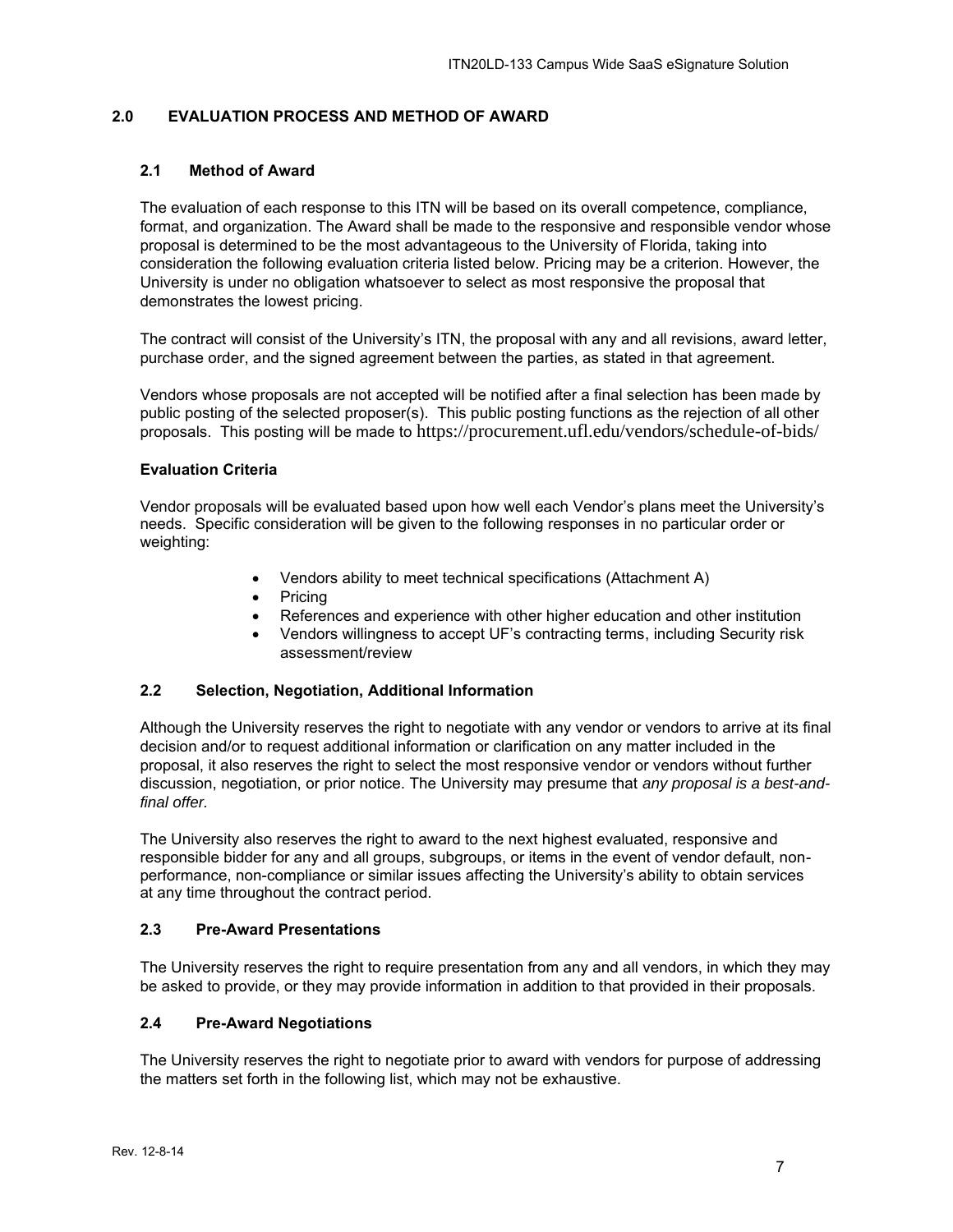## <span id="page-6-0"></span>**2.0 EVALUATION PROCESS AND METHOD OF AWARD**

## <span id="page-6-1"></span>**2.1 Method of Award**

The evaluation of each response to this ITN will be based on its overall competence, compliance, format, and organization. The Award shall be made to the responsive and responsible vendor whose proposal is determined to be the most advantageous to the University of Florida, taking into consideration the following evaluation criteria listed below. Pricing may be a criterion. However, the University is under no obligation whatsoever to select as most responsive the proposal that demonstrates the lowest pricing.

The contract will consist of the University's ITN, the proposal with any and all revisions, award letter, purchase order, and the signed agreement between the parties, as stated in that agreement.

Vendors whose proposals are not accepted will be notified after a final selection has been made by public posting of the selected proposer(s). This public posting functions as the rejection of all other proposals. This posting will be made to https://procurement.ufl.edu/vendors/schedule-of-bids/

#### **Evaluation Criteria**

Vendor proposals will be evaluated based upon how well each Vendor's plans meet the University's needs. Specific consideration will be given to the following responses in no particular order or weighting:

- Vendors ability to meet technical specifications (Attachment A)
- Pricing
- References and experience with other higher education and other institution
- Vendors willingness to accept UF's contracting terms, including Security risk assessment/review

#### <span id="page-6-2"></span>**2.2 Selection, Negotiation, Additional Information**

Although the University reserves the right to negotiate with any vendor or vendors to arrive at its final decision and/or to request additional information or clarification on any matter included in the proposal, it also reserves the right to select the most responsive vendor or vendors without further discussion, negotiation, or prior notice. The University may presume that *any proposal is a best-andfinal offer.*

The University also reserves the right to award to the next highest evaluated, responsive and responsible bidder for any and all groups, subgroups, or items in the event of vendor default, nonperformance, non-compliance or similar issues affecting the University's ability to obtain services at any time throughout the contract period.

#### <span id="page-6-3"></span>**2.3 Pre-Award Presentations**

The University reserves the right to require presentation from any and all vendors, in which they may be asked to provide, or they may provide information in addition to that provided in their proposals.

## <span id="page-6-4"></span>**2.4 Pre-Award Negotiations**

The University reserves the right to negotiate prior to award with vendors for purpose of addressing the matters set forth in the following list, which may not be exhaustive.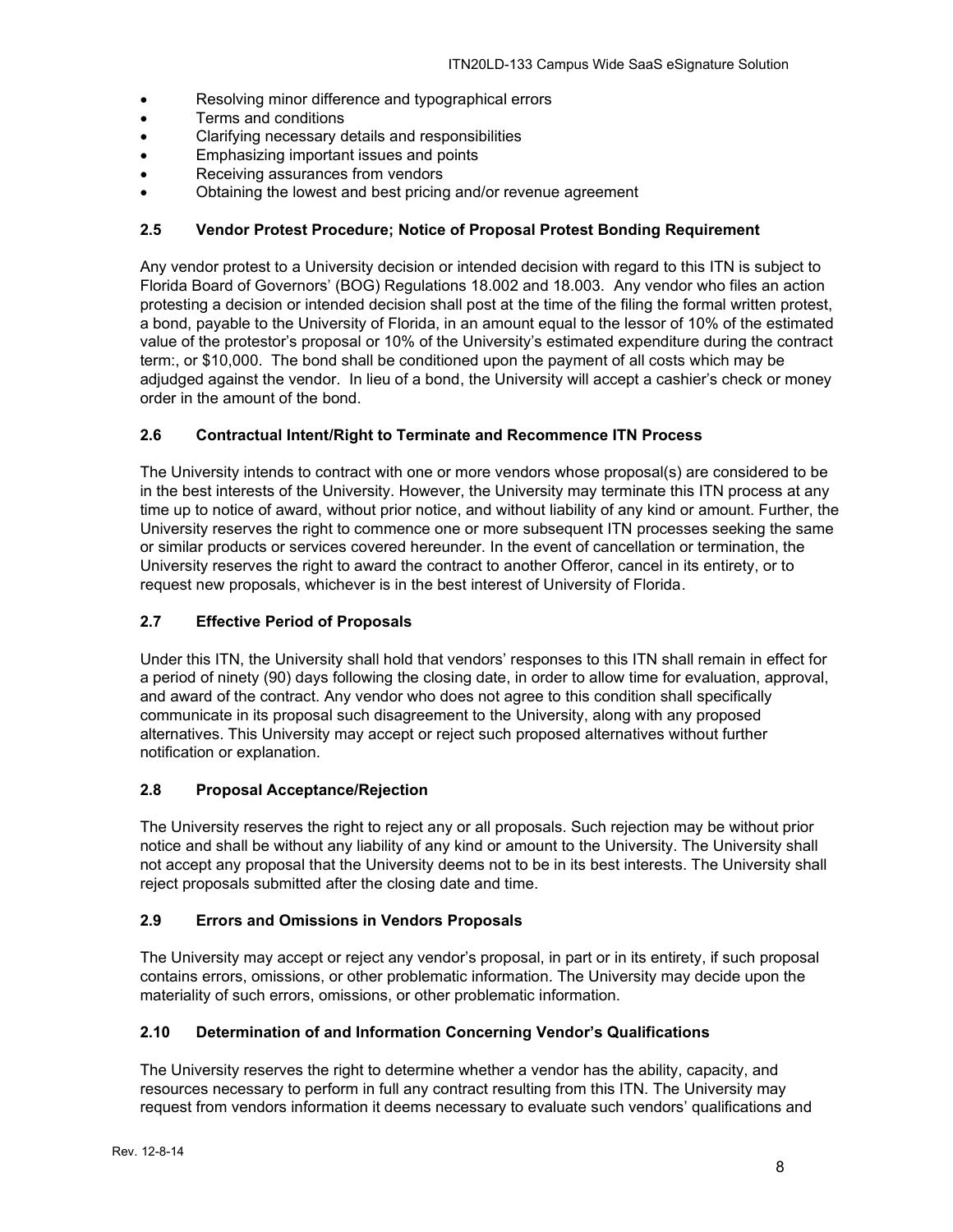- Resolving minor difference and typographical errors
- Terms and conditions
- Clarifying necessary details and responsibilities
- Emphasizing important issues and points
- Receiving assurances from vendors
- Obtaining the lowest and best pricing and/or revenue agreement

## <span id="page-7-0"></span>**2.5 Vendor Protest Procedure; Notice of Proposal Protest Bonding Requirement**

Any vendor protest to a University decision or intended decision with regard to this ITN is subject to Florida Board of Governors' (BOG) Regulations 18.002 and 18.003. Any vendor who files an action protesting a decision or intended decision shall post at the time of the filing the formal written protest, a bond, payable to the University of Florida, in an amount equal to the lessor of 10% of the estimated value of the protestor's proposal or 10% of the University's estimated expenditure during the contract term:, or \$10,000. The bond shall be conditioned upon the payment of all costs which may be adjudged against the vendor. In lieu of a bond, the University will accept a cashier's check or money order in the amount of the bond.

## <span id="page-7-1"></span>**2.6 Contractual Intent/Right to Terminate and Recommence ITN Process**

The University intends to contract with one or more vendors whose proposal(s) are considered to be in the best interests of the University. However, the University may terminate this ITN process at any time up to notice of award, without prior notice, and without liability of any kind or amount. Further, the University reserves the right to commence one or more subsequent ITN processes seeking the same or similar products or services covered hereunder. In the event of cancellation or termination, the University reserves the right to award the contract to another Offeror, cancel in its entirety, or to request new proposals, whichever is in the best interest of University of Florida.

## <span id="page-7-2"></span>**2.7 Effective Period of Proposals**

Under this ITN, the University shall hold that vendors' responses to this ITN shall remain in effect for a period of ninety (90) days following the closing date, in order to allow time for evaluation, approval, and award of the contract. Any vendor who does not agree to this condition shall specifically communicate in its proposal such disagreement to the University, along with any proposed alternatives. This University may accept or reject such proposed alternatives without further notification or explanation.

#### <span id="page-7-3"></span>**2.8 Proposal Acceptance/Rejection**

The University reserves the right to reject any or all proposals. Such rejection may be without prior notice and shall be without any liability of any kind or amount to the University. The University shall not accept any proposal that the University deems not to be in its best interests. The University shall reject proposals submitted after the closing date and time.

#### <span id="page-7-4"></span>**2.9 Errors and Omissions in Vendors Proposals**

The University may accept or reject any vendor's proposal, in part or in its entirety, if such proposal contains errors, omissions, or other problematic information. The University may decide upon the materiality of such errors, omissions, or other problematic information.

#### <span id="page-7-5"></span>**2.10 Determination of and Information Concerning Vendor's Qualifications**

The University reserves the right to determine whether a vendor has the ability, capacity, and resources necessary to perform in full any contract resulting from this ITN. The University may request from vendors information it deems necessary to evaluate such vendors' qualifications and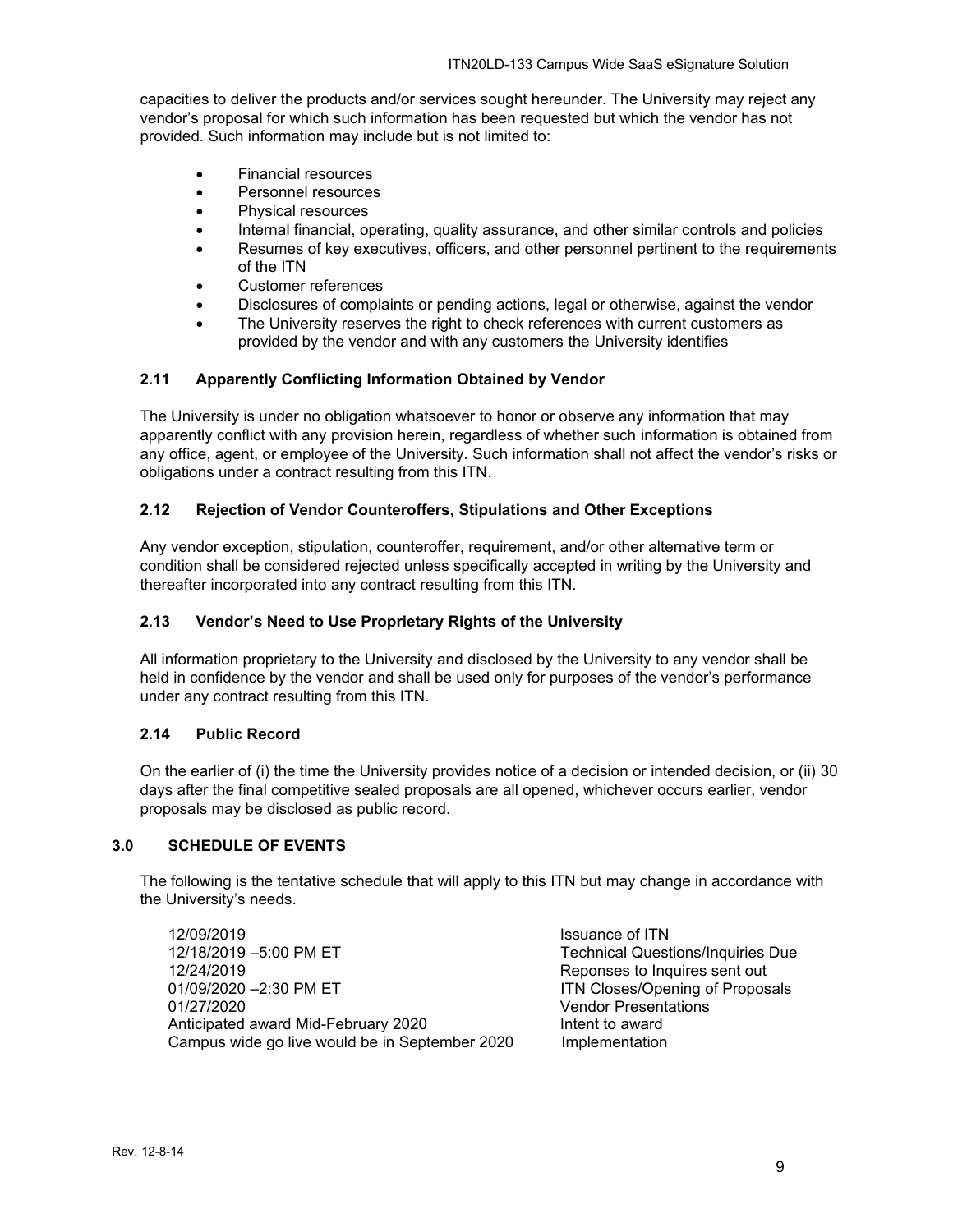capacities to deliver the products and/or services sought hereunder. The University may reject any vendor's proposal for which such information has been requested but which the vendor has not provided. Such information may include but is not limited to:

- Financial resources
- Personnel resources
- Physical resources
- Internal financial, operating, quality assurance, and other similar controls and policies
- Resumes of key executives, officers, and other personnel pertinent to the requirements of the ITN
- Customer references
- Disclosures of complaints or pending actions, legal or otherwise, against the vendor
- The University reserves the right to check references with current customers as provided by the vendor and with any customers the University identifies

## <span id="page-8-0"></span>**2.11 Apparently Conflicting Information Obtained by Vendor**

The University is under no obligation whatsoever to honor or observe any information that may apparently conflict with any provision herein, regardless of whether such information is obtained from any office, agent, or employee of the University. Such information shall not affect the vendor's risks or obligations under a contract resulting from this ITN.

## <span id="page-8-1"></span>**2.12 Rejection of Vendor Counteroffers, Stipulations and Other Exceptions**

Any vendor exception, stipulation, counteroffer, requirement, and/or other alternative term or condition shall be considered rejected unless specifically accepted in writing by the University and thereafter incorporated into any contract resulting from this ITN.

### <span id="page-8-2"></span>**2.13 Vendor's Need to Use Proprietary Rights of the University**

All information proprietary to the University and disclosed by the University to any vendor shall be held in confidence by the vendor and shall be used only for purposes of the vendor's performance under any contract resulting from this ITN.

#### <span id="page-8-3"></span>**2.14 Public Record**

On the earlier of (i) the time the University provides notice of a decision or intended decision, or (ii) 30 days after the final competitive sealed proposals are all opened, whichever occurs earlier, vendor proposals may be disclosed as public record.

#### <span id="page-8-4"></span>**3.0 SCHEDULE OF EVENTS**

The following is the tentative schedule that will apply to this ITN but may change in accordance with the University's needs.

12/09/2019<br>12/18/2019 -5:00 PM ET 12/18/2019 - Technical Quest 12/18/2019 –5:00 PM ET Technical Questions/Inquiries Due<br>12/24/2019 – Technical Questions Pepopes to Inquires sent out 01/09/2020 -2:30 PM ET ITN Closes/Opening of Proposals 01/27/2020 Vendor Presentations Anticipated award Mid-February 2020 Intent to award Campus wide go live would be in September 2020 Implementation

Reponses to Inquires sent out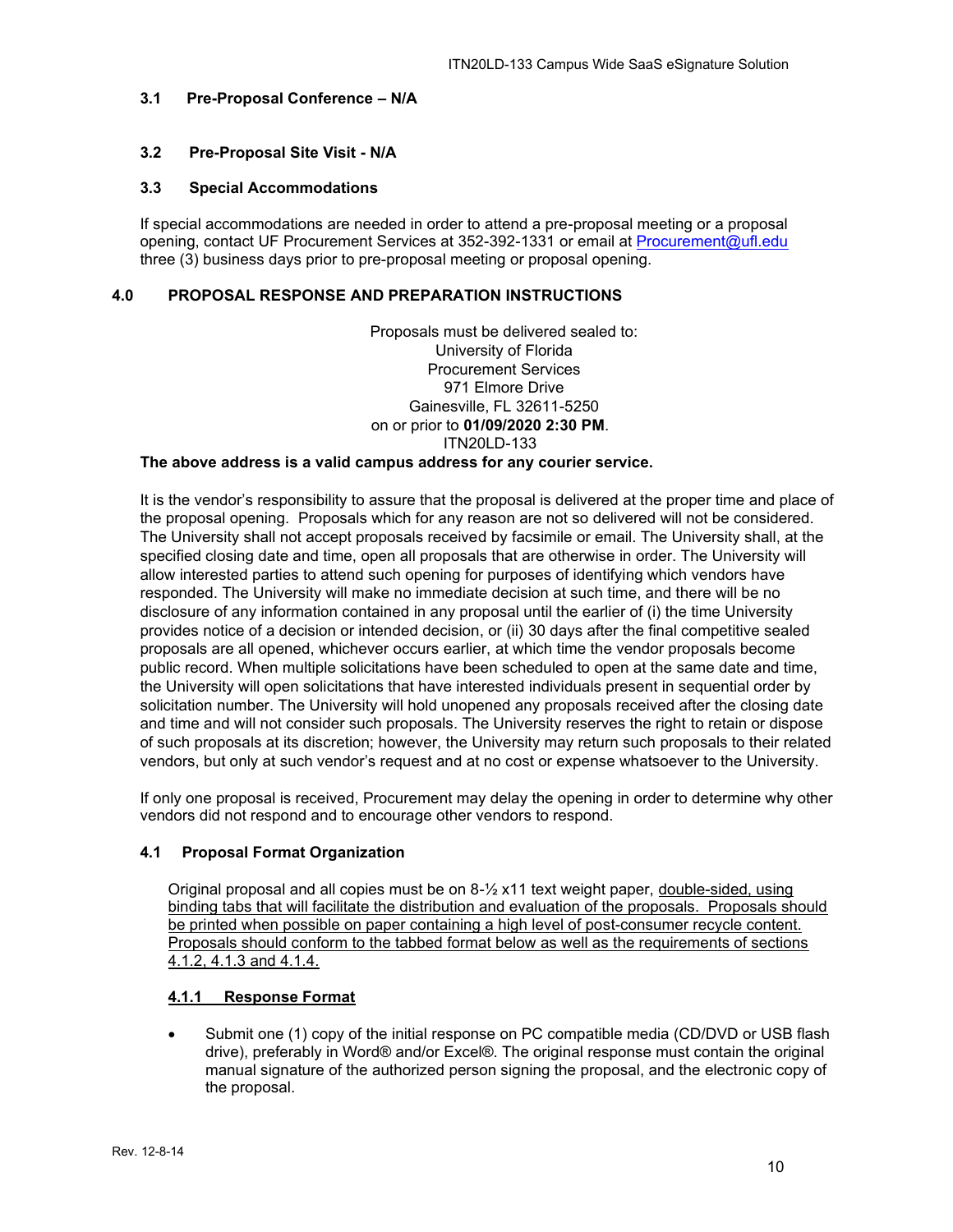#### <span id="page-9-0"></span>**3.1 Pre-Proposal Conference – N/A**

#### <span id="page-9-1"></span>**3.2 Pre-Proposal Site Visit - N/A**

## <span id="page-9-2"></span>**3.3 Special Accommodations**

If special accommodations are needed in order to attend a pre-proposal meeting or a proposal opening, contact UF Procurement Services at 352-392-1331 or email at [Procurement@ufl.edu](mailto:Procurement@ufl.edu) three (3) business days prior to pre-proposal meeting or proposal opening.

#### <span id="page-9-3"></span>**4.0 PROPOSAL RESPONSE AND PREPARATION INSTRUCTIONS**

Proposals must be delivered sealed to: University of Florida Procurement Services 971 Elmore Drive Gainesville, FL 32611-5250 on or prior to **01/09/2020 2:30 PM**. ITN20LD-133

#### **The above address is a valid campus address for any courier service.**

It is the vendor's responsibility to assure that the proposal is delivered at the proper time and place of the proposal opening. Proposals which for any reason are not so delivered will not be considered. The University shall not accept proposals received by facsimile or email. The University shall, at the specified closing date and time, open all proposals that are otherwise in order. The University will allow interested parties to attend such opening for purposes of identifying which vendors have responded. The University will make no immediate decision at such time, and there will be no disclosure of any information contained in any proposal until the earlier of (i) the time University provides notice of a decision or intended decision, or (ii) 30 days after the final competitive sealed proposals are all opened, whichever occurs earlier, at which time the vendor proposals become public record. When multiple solicitations have been scheduled to open at the same date and time, the University will open solicitations that have interested individuals present in sequential order by solicitation number. The University will hold unopened any proposals received after the closing date and time and will not consider such proposals. The University reserves the right to retain or dispose of such proposals at its discretion; however, the University may return such proposals to their related vendors, but only at such vendor's request and at no cost or expense whatsoever to the University.

If only one proposal is received, Procurement may delay the opening in order to determine why other vendors did not respond and to encourage other vendors to respond.

#### <span id="page-9-4"></span>**4.1 Proposal Format Organization**

Original proposal and all copies must be on 8-½ x11 text weight paper, double-sided, using binding tabs that will facilitate the distribution and evaluation of the proposals. Proposals should be printed when possible on paper containing a high level of post-consumer recycle content. Proposals should conform to the tabbed format below as well as the requirements of sections 4.1.2, 4.1.3 and 4.1.4.

#### <span id="page-9-5"></span>**4.1.1 Response Format**

• Submit one (1) copy of the initial response on PC compatible media (CD/DVD or USB flash drive), preferably in Word® and/or Excel®. The original response must contain the original manual signature of the authorized person signing the proposal, and the electronic copy of the proposal.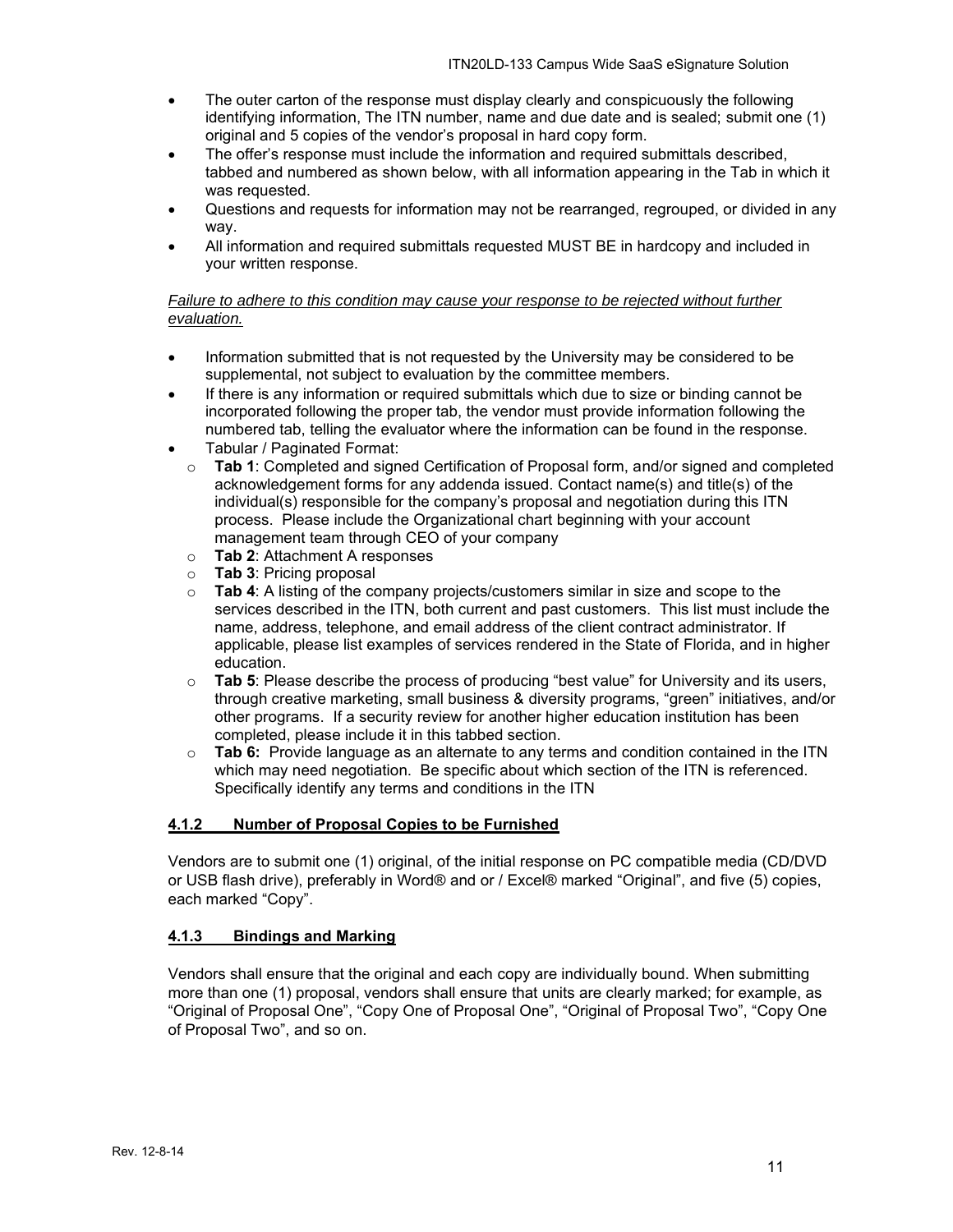- The outer carton of the response must display clearly and conspicuously the following identifying information, The ITN number, name and due date and is sealed; submit one (1) original and 5 copies of the vendor's proposal in hard copy form.
- The offer's response must include the information and required submittals described, tabbed and numbered as shown below, with all information appearing in the Tab in which it was requested.
- Questions and requests for information may not be rearranged, regrouped, or divided in any way.
- All information and required submittals requested MUST BE in hardcopy and included in your written response.

## *Failure to adhere to this condition may cause your response to be rejected without further evaluation.*

- Information submitted that is not requested by the University may be considered to be supplemental, not subject to evaluation by the committee members.
- If there is any information or required submittals which due to size or binding cannot be incorporated following the proper tab, the vendor must provide information following the numbered tab, telling the evaluator where the information can be found in the response.
- Tabular / Paginated Format:
	- o **Tab 1**: Completed and signed Certification of Proposal form, and/or signed and completed acknowledgement forms for any addenda issued. Contact name(s) and title(s) of the individual(s) responsible for the company's proposal and negotiation during this ITN process. Please include the Organizational chart beginning with your account management team through CEO of your company
	- o **Tab 2**: Attachment A responses
	- o **Tab 3**: Pricing proposal
	- o **Tab 4**: A listing of the company projects/customers similar in size and scope to the services described in the ITN, both current and past customers. This list must include the name, address, telephone, and email address of the client contract administrator. If applicable, please list examples of services rendered in the State of Florida, and in higher education.
	- o **Tab 5**: Please describe the process of producing "best value" for University and its users, through creative marketing, small business & diversity programs, "green" initiatives, and/or other programs. If a security review for another higher education institution has been completed, please include it in this tabbed section.
	- o **Tab 6:** Provide language as an alternate to any terms and condition contained in the ITN which may need negotiation. Be specific about which section of the ITN is referenced. Specifically identify any terms and conditions in the ITN

#### <span id="page-10-0"></span>**4.1.2 Number of Proposal Copies to be Furnished**

Vendors are to submit one (1) original, of the initial response on PC compatible media (CD/DVD or USB flash drive), preferably in Word® and or / Excel® marked "Original", and five (5) copies, each marked "Copy".

## <span id="page-10-1"></span>**4.1.3 Bindings and Marking**

Vendors shall ensure that the original and each copy are individually bound. When submitting more than one (1) proposal, vendors shall ensure that units are clearly marked; for example, as "Original of Proposal One", "Copy One of Proposal One", "Original of Proposal Two", "Copy One of Proposal Two", and so on.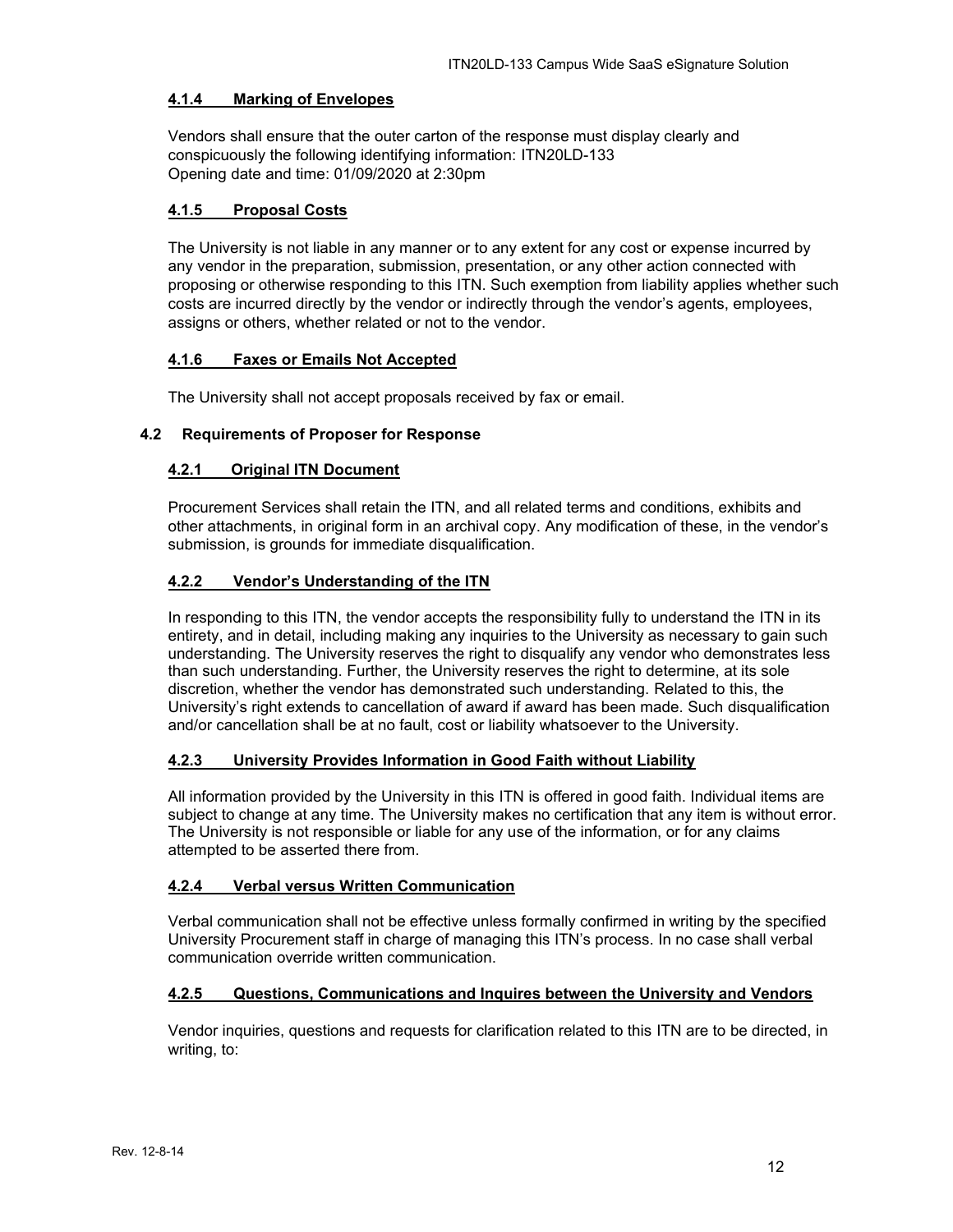### <span id="page-11-0"></span>**4.1.4 Marking of Envelopes**

Vendors shall ensure that the outer carton of the response must display clearly and conspicuously the following identifying information: ITN20LD-133 Opening date and time: 01/09/2020 at 2:30pm

### <span id="page-11-1"></span>**4.1.5 Proposal Costs**

The University is not liable in any manner or to any extent for any cost or expense incurred by any vendor in the preparation, submission, presentation, or any other action connected with proposing or otherwise responding to this ITN. Such exemption from liability applies whether such costs are incurred directly by the vendor or indirectly through the vendor's agents, employees, assigns or others, whether related or not to the vendor.

## <span id="page-11-2"></span>**4.1.6 Faxes or Emails Not Accepted**

The University shall not accept proposals received by fax or email.

## <span id="page-11-4"></span><span id="page-11-3"></span>**4.2 Requirements of Proposer for Response**

## **4.2.1 Original ITN Document**

Procurement Services shall retain the ITN, and all related terms and conditions, exhibits and other attachments, in original form in an archival copy. Any modification of these, in the vendor's submission, is grounds for immediate disqualification.

## <span id="page-11-5"></span>**4.2.2 Vendor's Understanding of the ITN**

In responding to this ITN, the vendor accepts the responsibility fully to understand the ITN in its entirety, and in detail, including making any inquiries to the University as necessary to gain such understanding. The University reserves the right to disqualify any vendor who demonstrates less than such understanding. Further, the University reserves the right to determine, at its sole discretion, whether the vendor has demonstrated such understanding. Related to this, the University's right extends to cancellation of award if award has been made. Such disqualification and/or cancellation shall be at no fault, cost or liability whatsoever to the University.

## <span id="page-11-6"></span>**4.2.3 University Provides Information in Good Faith without Liability**

All information provided by the University in this ITN is offered in good faith. Individual items are subject to change at any time. The University makes no certification that any item is without error. The University is not responsible or liable for any use of the information, or for any claims attempted to be asserted there from.

#### <span id="page-11-7"></span>**4.2.4 Verbal versus Written Communication**

Verbal communication shall not be effective unless formally confirmed in writing by the specified University Procurement staff in charge of managing this ITN's process. In no case shall verbal communication override written communication.

#### <span id="page-11-8"></span>**4.2.5 Questions, Communications and Inquires between the University and Vendors**

Vendor inquiries, questions and requests for clarification related to this ITN are to be directed, in writing, to: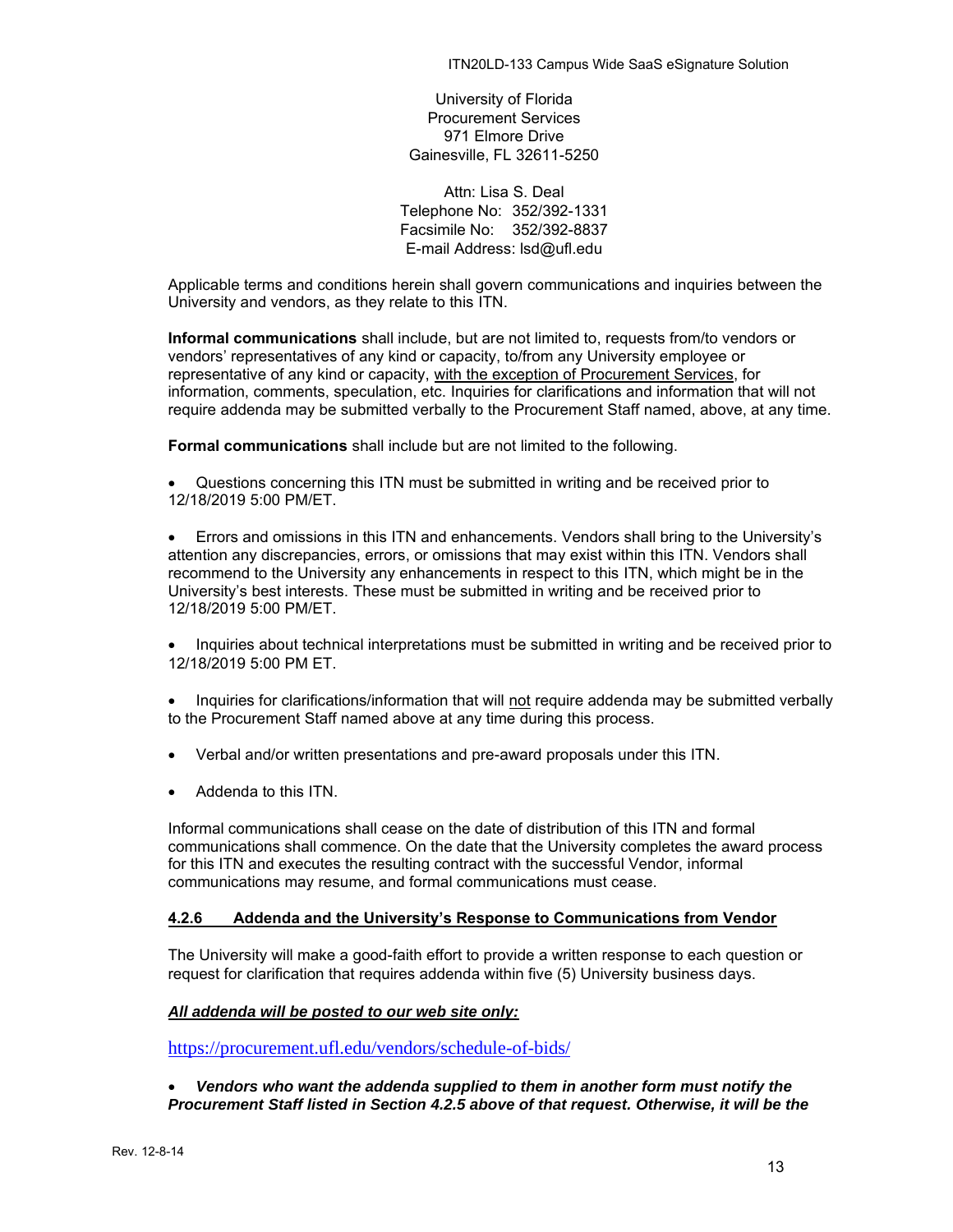University of Florida Procurement Services 971 Elmore Drive Gainesville, FL 32611-5250

Attn: Lisa S. Deal Telephone No: 352/392-1331 Facsimile No: 352/392-8837 E-mail Address: lsd@ufl.edu

Applicable terms and conditions herein shall govern communications and inquiries between the University and vendors, as they relate to this ITN.

**Informal communications** shall include, but are not limited to, requests from/to vendors or vendors' representatives of any kind or capacity, to/from any University employee or representative of any kind or capacity, with the exception of Procurement Services, for information, comments, speculation, etc. Inquiries for clarifications and information that will not require addenda may be submitted verbally to the Procurement Staff named, above, at any time.

**Formal communications** shall include but are not limited to the following.

• Questions concerning this ITN must be submitted in writing and be received prior to 12/18/2019 5:00 PM/ET.

• Errors and omissions in this ITN and enhancements. Vendors shall bring to the University's attention any discrepancies, errors, or omissions that may exist within this ITN. Vendors shall recommend to the University any enhancements in respect to this ITN, which might be in the University's best interests. These must be submitted in writing and be received prior to 12/18/2019 5:00 PM/ET.

• Inquiries about technical interpretations must be submitted in writing and be received prior to 12/18/2019 5:00 PM ET.

• Inquiries for clarifications/information that will not require addenda may be submitted verbally to the Procurement Staff named above at any time during this process.

- Verbal and/or written presentations and pre-award proposals under this ITN.
- Addenda to this ITN.

Informal communications shall cease on the date of distribution of this ITN and formal communications shall commence. On the date that the University completes the award process for this ITN and executes the resulting contract with the successful Vendor, informal communications may resume, and formal communications must cease.

#### <span id="page-12-0"></span>**4.2.6 Addenda and the University's Response to Communications from Vendor**

The University will make a good-faith effort to provide a written response to each question or request for clarification that requires addenda within five (5) University business days.

#### *All addenda will be posted to our web site only:*

<https://procurement.ufl.edu/vendors/schedule-of-bids/>

• *Vendors who want the addenda supplied to them in another form must notify the Procurement Staff listed in Section 4.2.5 above of that request. Otherwise, it will be the*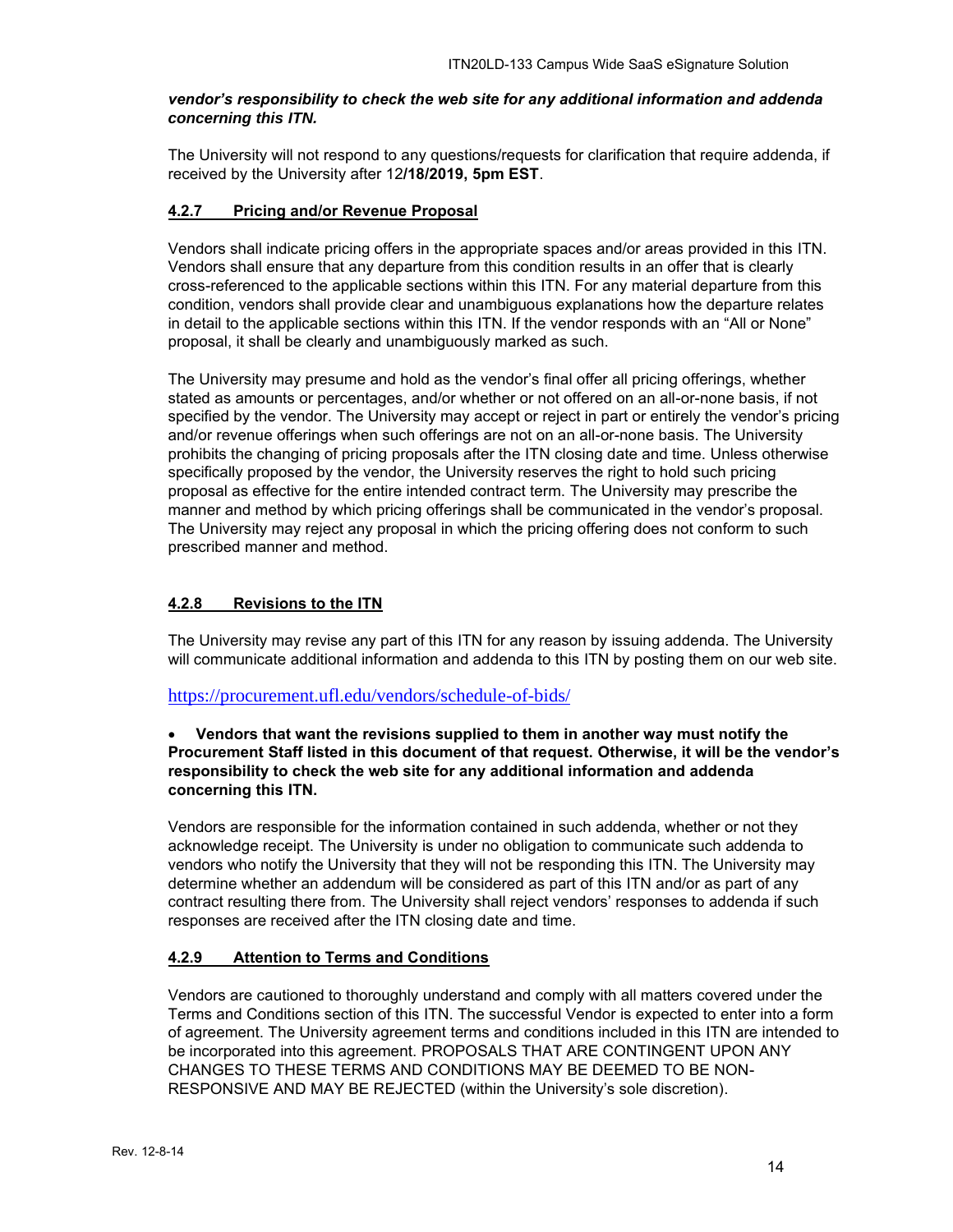#### *vendor's responsibility to check the web site for any additional information and addenda concerning this ITN.*

The University will not respond to any questions/requests for clarification that require addenda, if received by the University after 12**/18/2019, 5pm EST**.

## <span id="page-13-0"></span>**4.2.7 Pricing and/or Revenue Proposal**

Vendors shall indicate pricing offers in the appropriate spaces and/or areas provided in this ITN. Vendors shall ensure that any departure from this condition results in an offer that is clearly cross-referenced to the applicable sections within this ITN. For any material departure from this condition, vendors shall provide clear and unambiguous explanations how the departure relates in detail to the applicable sections within this ITN. If the vendor responds with an "All or None" proposal, it shall be clearly and unambiguously marked as such.

The University may presume and hold as the vendor's final offer all pricing offerings, whether stated as amounts or percentages, and/or whether or not offered on an all-or-none basis, if not specified by the vendor. The University may accept or reject in part or entirely the vendor's pricing and/or revenue offerings when such offerings are not on an all-or-none basis. The University prohibits the changing of pricing proposals after the ITN closing date and time. Unless otherwise specifically proposed by the vendor, the University reserves the right to hold such pricing proposal as effective for the entire intended contract term. The University may prescribe the manner and method by which pricing offerings shall be communicated in the vendor's proposal. The University may reject any proposal in which the pricing offering does not conform to such prescribed manner and method.

## <span id="page-13-1"></span>**4.2.8 Revisions to the ITN**

The University may revise any part of this ITN for any reason by issuing addenda. The University will communicate additional information and addenda to this ITN by posting them on our web site.

#### <https://procurement.ufl.edu/vendors/schedule-of-bids/>

## • **Vendors that want the revisions supplied to them in another way must notify the Procurement Staff listed in this document of that request. Otherwise, it will be the vendor's responsibility to check the web site for any additional information and addenda concerning this ITN.**

Vendors are responsible for the information contained in such addenda, whether or not they acknowledge receipt. The University is under no obligation to communicate such addenda to vendors who notify the University that they will not be responding this ITN. The University may determine whether an addendum will be considered as part of this ITN and/or as part of any contract resulting there from. The University shall reject vendors' responses to addenda if such responses are received after the ITN closing date and time.

## <span id="page-13-2"></span>**4.2.9 Attention to Terms and Conditions**

Vendors are cautioned to thoroughly understand and comply with all matters covered under the Terms and Conditions section of this ITN. The successful Vendor is expected to enter into a form of agreement. The University agreement terms and conditions included in this ITN are intended to be incorporated into this agreement. PROPOSALS THAT ARE CONTINGENT UPON ANY CHANGES TO THESE TERMS AND CONDITIONS MAY BE DEEMED TO BE NON-RESPONSIVE AND MAY BE REJECTED (within the University's sole discretion).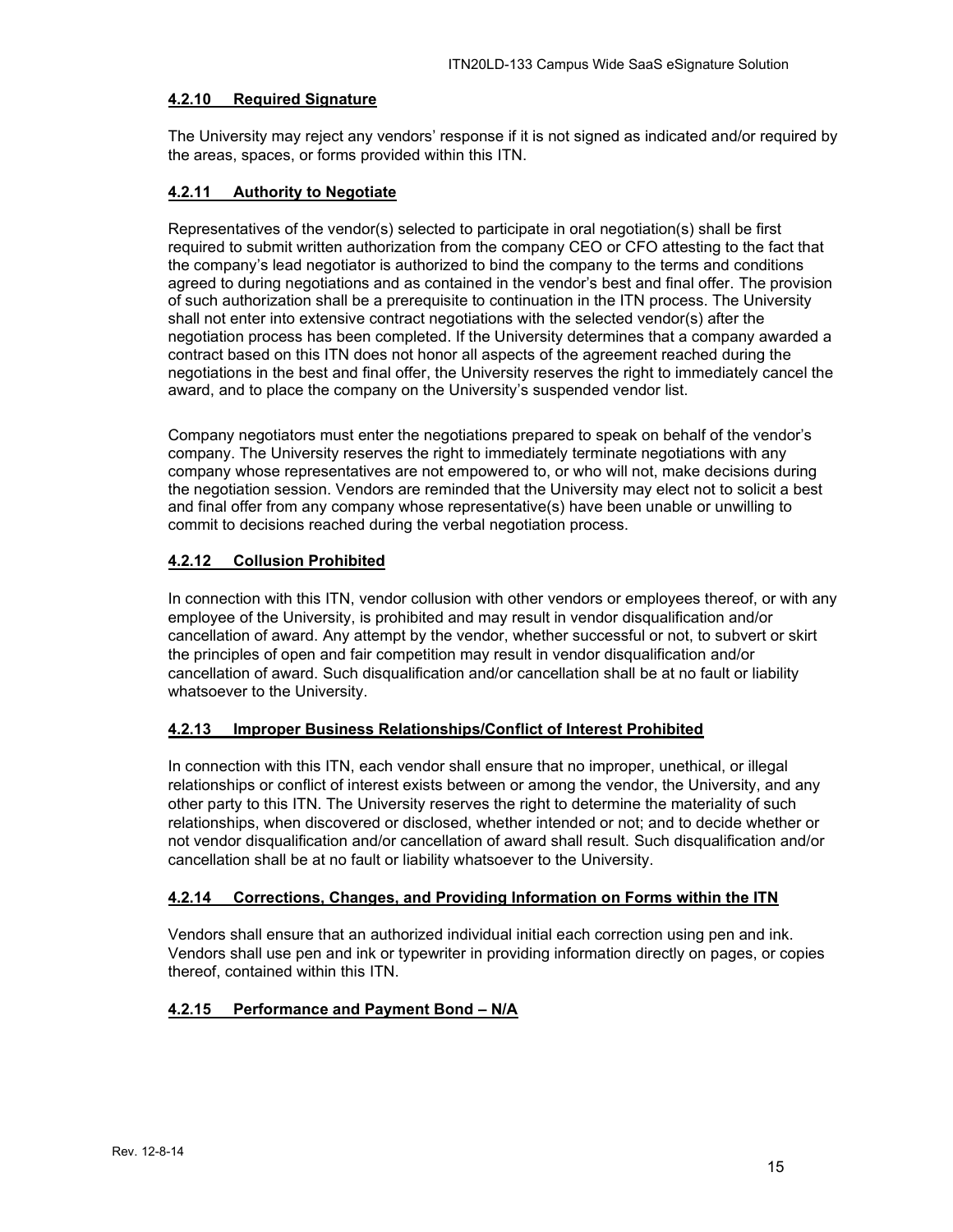## <span id="page-14-0"></span>**4.2.10 Required Signature**

The University may reject any vendors' response if it is not signed as indicated and/or required by the areas, spaces, or forms provided within this ITN.

## <span id="page-14-1"></span>**4.2.11 Authority to Negotiate**

Representatives of the vendor(s) selected to participate in oral negotiation(s) shall be first required to submit written authorization from the company CEO or CFO attesting to the fact that the company's lead negotiator is authorized to bind the company to the terms and conditions agreed to during negotiations and as contained in the vendor's best and final offer. The provision of such authorization shall be a prerequisite to continuation in the ITN process. The University shall not enter into extensive contract negotiations with the selected vendor(s) after the negotiation process has been completed. If the University determines that a company awarded a contract based on this ITN does not honor all aspects of the agreement reached during the negotiations in the best and final offer, the University reserves the right to immediately cancel the award, and to place the company on the University's suspended vendor list.

Company negotiators must enter the negotiations prepared to speak on behalf of the vendor's company. The University reserves the right to immediately terminate negotiations with any company whose representatives are not empowered to, or who will not, make decisions during the negotiation session. Vendors are reminded that the University may elect not to solicit a best and final offer from any company whose representative(s) have been unable or unwilling to commit to decisions reached during the verbal negotiation process.

## <span id="page-14-2"></span>**4.2.12 Collusion Prohibited**

In connection with this ITN, vendor collusion with other vendors or employees thereof, or with any employee of the University, is prohibited and may result in vendor disqualification and/or cancellation of award. Any attempt by the vendor, whether successful or not, to subvert or skirt the principles of open and fair competition may result in vendor disqualification and/or cancellation of award. Such disqualification and/or cancellation shall be at no fault or liability whatsoever to the University.

#### <span id="page-14-3"></span>**4.2.13 Improper Business Relationships/Conflict of Interest Prohibited**

In connection with this ITN, each vendor shall ensure that no improper, unethical, or illegal relationships or conflict of interest exists between or among the vendor, the University, and any other party to this ITN. The University reserves the right to determine the materiality of such relationships, when discovered or disclosed, whether intended or not; and to decide whether or not vendor disqualification and/or cancellation of award shall result. Such disqualification and/or cancellation shall be at no fault or liability whatsoever to the University.

#### <span id="page-14-4"></span>**4.2.14 Corrections, Changes, and Providing Information on Forms within the ITN**

Vendors shall ensure that an authorized individual initial each correction using pen and ink. Vendors shall use pen and ink or typewriter in providing information directly on pages, or copies thereof, contained within this ITN.

## <span id="page-14-5"></span>**4.2.15 Performance and Payment Bond – N/A**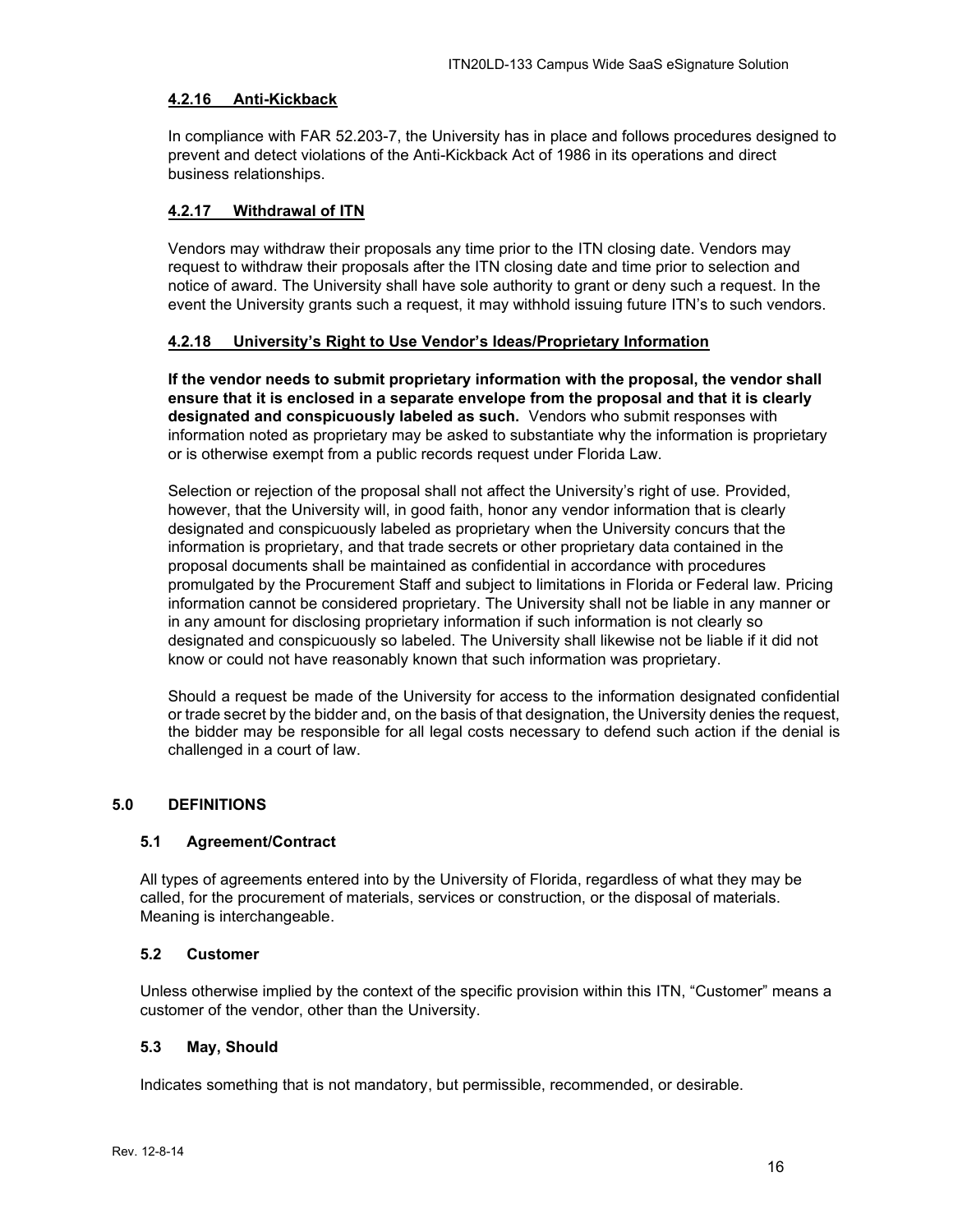## <span id="page-15-0"></span>**4.2.16 Anti-Kickback**

In compliance with FAR 52.203-7, the University has in place and follows procedures designed to prevent and detect violations of the Anti-Kickback Act of 1986 in its operations and direct business relationships.

## <span id="page-15-1"></span>**4.2.17 Withdrawal of ITN**

Vendors may withdraw their proposals any time prior to the ITN closing date. Vendors may request to withdraw their proposals after the ITN closing date and time prior to selection and notice of award. The University shall have sole authority to grant or deny such a request. In the event the University grants such a request, it may withhold issuing future ITN's to such vendors.

## <span id="page-15-2"></span>**4.2.18 University's Right to Use Vendor's Ideas/Proprietary Information**

**If the vendor needs to submit proprietary information with the proposal, the vendor shall ensure that it is enclosed in a separate envelope from the proposal and that it is clearly designated and conspicuously labeled as such.** Vendors who submit responses with information noted as proprietary may be asked to substantiate why the information is proprietary or is otherwise exempt from a public records request under Florida Law.

Selection or rejection of the proposal shall not affect the University's right of use. Provided, however, that the University will, in good faith, honor any vendor information that is clearly designated and conspicuously labeled as proprietary when the University concurs that the information is proprietary, and that trade secrets or other proprietary data contained in the proposal documents shall be maintained as confidential in accordance with procedures promulgated by the Procurement Staff and subject to limitations in Florida or Federal law. Pricing information cannot be considered proprietary. The University shall not be liable in any manner or in any amount for disclosing proprietary information if such information is not clearly so designated and conspicuously so labeled. The University shall likewise not be liable if it did not know or could not have reasonably known that such information was proprietary.

Should a request be made of the University for access to the information designated confidential or trade secret by the bidder and, on the basis of that designation, the University denies the request, the bidder may be responsible for all legal costs necessary to defend such action if the denial is challenged in a court of law.

## <span id="page-15-3"></span>**5.0 DEFINITIONS**

#### <span id="page-15-4"></span>**5.1 Agreement/Contract**

All types of agreements entered into by the University of Florida, regardless of what they may be called, for the procurement of materials, services or construction, or the disposal of materials. Meaning is interchangeable.

#### <span id="page-15-5"></span>**5.2 Customer**

Unless otherwise implied by the context of the specific provision within this ITN, "Customer" means a customer of the vendor, other than the University.

#### <span id="page-15-6"></span>**5.3 May, Should**

Indicates something that is not mandatory, but permissible, recommended, or desirable.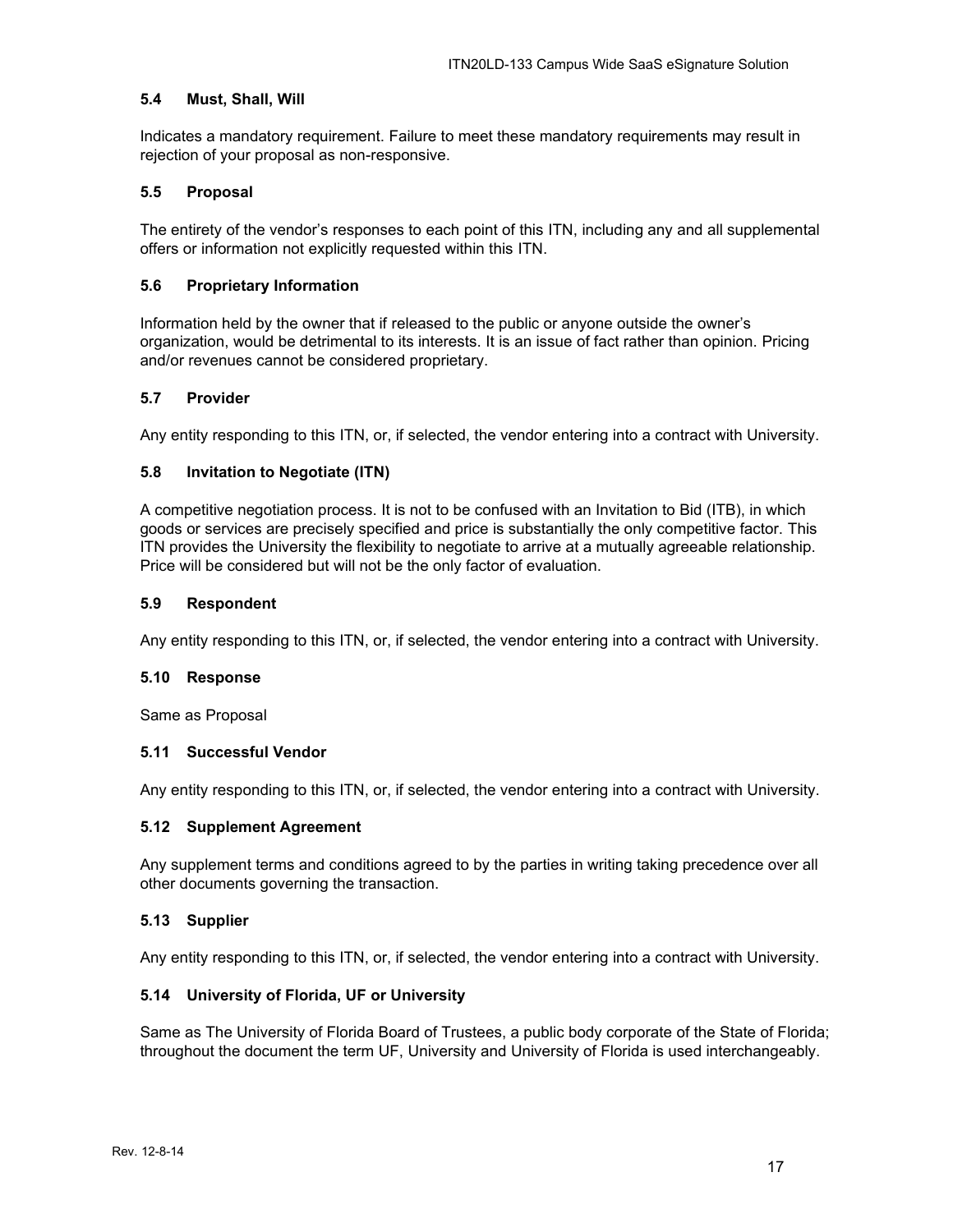#### <span id="page-16-0"></span>**5.4 Must, Shall, Will**

Indicates a mandatory requirement. Failure to meet these mandatory requirements may result in rejection of your proposal as non-responsive.

### <span id="page-16-1"></span>**5.5 Proposal**

The entirety of the vendor's responses to each point of this ITN, including any and all supplemental offers or information not explicitly requested within this ITN.

### <span id="page-16-2"></span>**5.6 Proprietary Information**

Information held by the owner that if released to the public or anyone outside the owner's organization, would be detrimental to its interests. It is an issue of fact rather than opinion. Pricing and/or revenues cannot be considered proprietary.

## <span id="page-16-3"></span>**5.7 Provider**

Any entity responding to this ITN, or, if selected, the vendor entering into a contract with University.

## <span id="page-16-4"></span>**5.8 Invitation to Negotiate (ITN)**

A competitive negotiation process. It is not to be confused with an Invitation to Bid (ITB), in which goods or services are precisely specified and price is substantially the only competitive factor. This ITN provides the University the flexibility to negotiate to arrive at a mutually agreeable relationship. Price will be considered but will not be the only factor of evaluation.

#### <span id="page-16-5"></span>**5.9 Respondent**

Any entity responding to this ITN, or, if selected, the vendor entering into a contract with University.

#### <span id="page-16-6"></span>**5.10 Response**

Same as Proposal

### <span id="page-16-7"></span>**5.11 Successful Vendor**

Any entity responding to this ITN, or, if selected, the vendor entering into a contract with University.

#### <span id="page-16-8"></span>**5.12 Supplement Agreement**

Any supplement terms and conditions agreed to by the parties in writing taking precedence over all other documents governing the transaction.

#### <span id="page-16-9"></span>**5.13 Supplier**

Any entity responding to this ITN, or, if selected, the vendor entering into a contract with University.

#### <span id="page-16-10"></span>**5.14 University of Florida, UF or University**

Same as The University of Florida Board of Trustees, a public body corporate of the State of Florida; throughout the document the term UF, University and University of Florida is used interchangeably.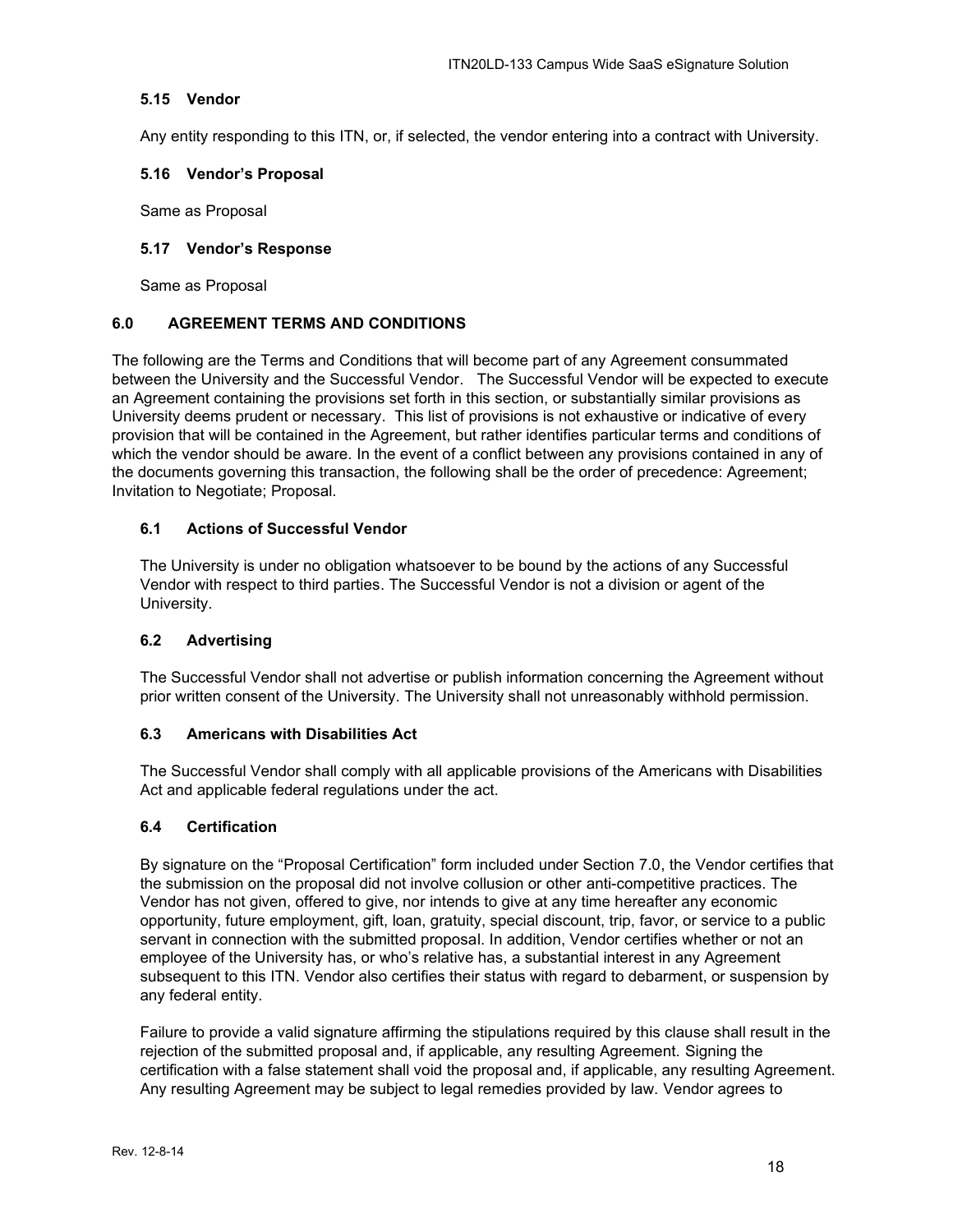## <span id="page-17-0"></span>**5.15 Vendor**

Any entity responding to this ITN, or, if selected, the vendor entering into a contract with University.

### <span id="page-17-1"></span>**5.16 Vendor's Proposal**

Same as Proposal

#### <span id="page-17-2"></span>**5.17 Vendor's Response**

Same as Proposal

## <span id="page-17-3"></span>**6.0 AGREEMENT TERMS AND CONDITIONS**

The following are the Terms and Conditions that will become part of any Agreement consummated between the University and the Successful Vendor. The Successful Vendor will be expected to execute an Agreement containing the provisions set forth in this section, or substantially similar provisions as University deems prudent or necessary. This list of provisions is not exhaustive or indicative of every provision that will be contained in the Agreement, but rather identifies particular terms and conditions of which the vendor should be aware. In the event of a conflict between any provisions contained in any of the documents governing this transaction, the following shall be the order of precedence: Agreement; Invitation to Negotiate; Proposal.

## <span id="page-17-4"></span>**6.1 Actions of Successful Vendor**

The University is under no obligation whatsoever to be bound by the actions of any Successful Vendor with respect to third parties. The Successful Vendor is not a division or agent of the University.

#### <span id="page-17-5"></span>**6.2 Advertising**

The Successful Vendor shall not advertise or publish information concerning the Agreement without prior written consent of the University. The University shall not unreasonably withhold permission.

#### <span id="page-17-6"></span>**6.3 Americans with Disabilities Act**

The Successful Vendor shall comply with all applicable provisions of the Americans with Disabilities Act and applicable federal regulations under the act.

#### <span id="page-17-7"></span>**6.4 Certification**

By signature on the "Proposal Certification" form included under Section 7.0, the Vendor certifies that the submission on the proposal did not involve collusion or other anti-competitive practices. The Vendor has not given, offered to give, nor intends to give at any time hereafter any economic opportunity, future employment, gift, loan, gratuity, special discount, trip, favor, or service to a public servant in connection with the submitted proposal. In addition, Vendor certifies whether or not an employee of the University has, or who's relative has, a substantial interest in any Agreement subsequent to this ITN. Vendor also certifies their status with regard to debarment, or suspension by any federal entity.

Failure to provide a valid signature affirming the stipulations required by this clause shall result in the rejection of the submitted proposal and, if applicable, any resulting Agreement. Signing the certification with a false statement shall void the proposal and, if applicable, any resulting Agreement. Any resulting Agreement may be subject to legal remedies provided by law. Vendor agrees to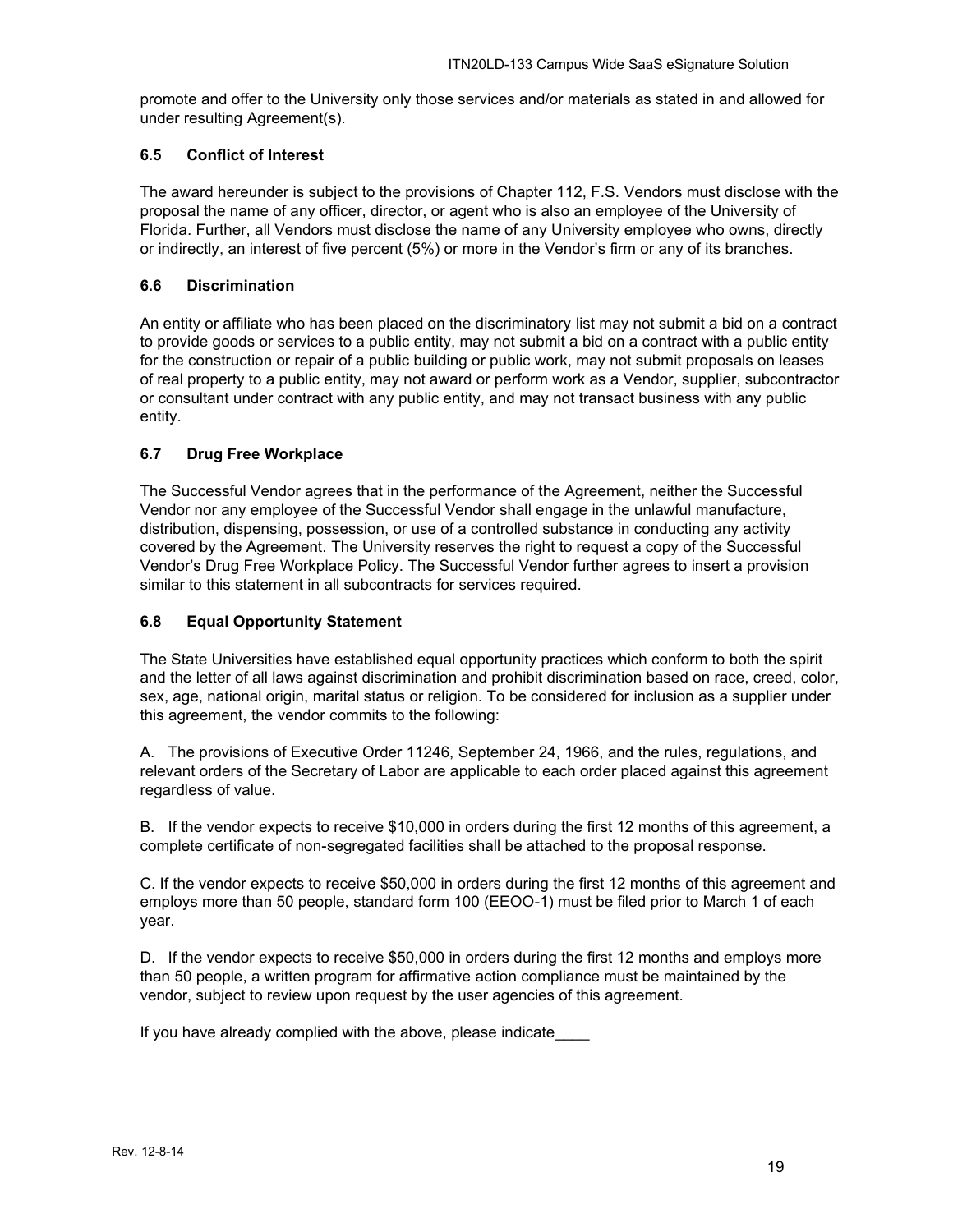promote and offer to the University only those services and/or materials as stated in and allowed for under resulting Agreement(s).

## <span id="page-18-0"></span>**6.5 Conflict of Interest**

The award hereunder is subject to the provisions of Chapter 112, F.S. Vendors must disclose with the proposal the name of any officer, director, or agent who is also an employee of the University of Florida. Further, all Vendors must disclose the name of any University employee who owns, directly or indirectly, an interest of five percent (5%) or more in the Vendor's firm or any of its branches.

## <span id="page-18-1"></span>**6.6 Discrimination**

An entity or affiliate who has been placed on the discriminatory list may not submit a bid on a contract to provide goods or services to a public entity, may not submit a bid on a contract with a public entity for the construction or repair of a public building or public work, may not submit proposals on leases of real property to a public entity, may not award or perform work as a Vendor, supplier, subcontractor or consultant under contract with any public entity, and may not transact business with any public entity.

## <span id="page-18-2"></span>**6.7 Drug Free Workplace**

The Successful Vendor agrees that in the performance of the Agreement, neither the Successful Vendor nor any employee of the Successful Vendor shall engage in the unlawful manufacture, distribution, dispensing, possession, or use of a controlled substance in conducting any activity covered by the Agreement. The University reserves the right to request a copy of the Successful Vendor's Drug Free Workplace Policy. The Successful Vendor further agrees to insert a provision similar to this statement in all subcontracts for services required.

## <span id="page-18-3"></span>**6.8 Equal Opportunity Statement**

The State Universities have established equal opportunity practices which conform to both the spirit and the letter of all laws against discrimination and prohibit discrimination based on race, creed, color, sex, age, national origin, marital status or religion. To be considered for inclusion as a supplier under this agreement, the vendor commits to the following:

A. The provisions of Executive Order 11246, September 24, 1966, and the rules, regulations, and relevant orders of the Secretary of Labor are applicable to each order placed against this agreement regardless of value.

B. If the vendor expects to receive \$10,000 in orders during the first 12 months of this agreement, a complete certificate of non-segregated facilities shall be attached to the proposal response.

C. If the vendor expects to receive \$50,000 in orders during the first 12 months of this agreement and employs more than 50 people, standard form 100 (EEOO-1) must be filed prior to March 1 of each year.

D. If the vendor expects to receive \$50,000 in orders during the first 12 months and employs more than 50 people, a written program for affirmative action compliance must be maintained by the vendor, subject to review upon request by the user agencies of this agreement.

If you have already complied with the above, please indicate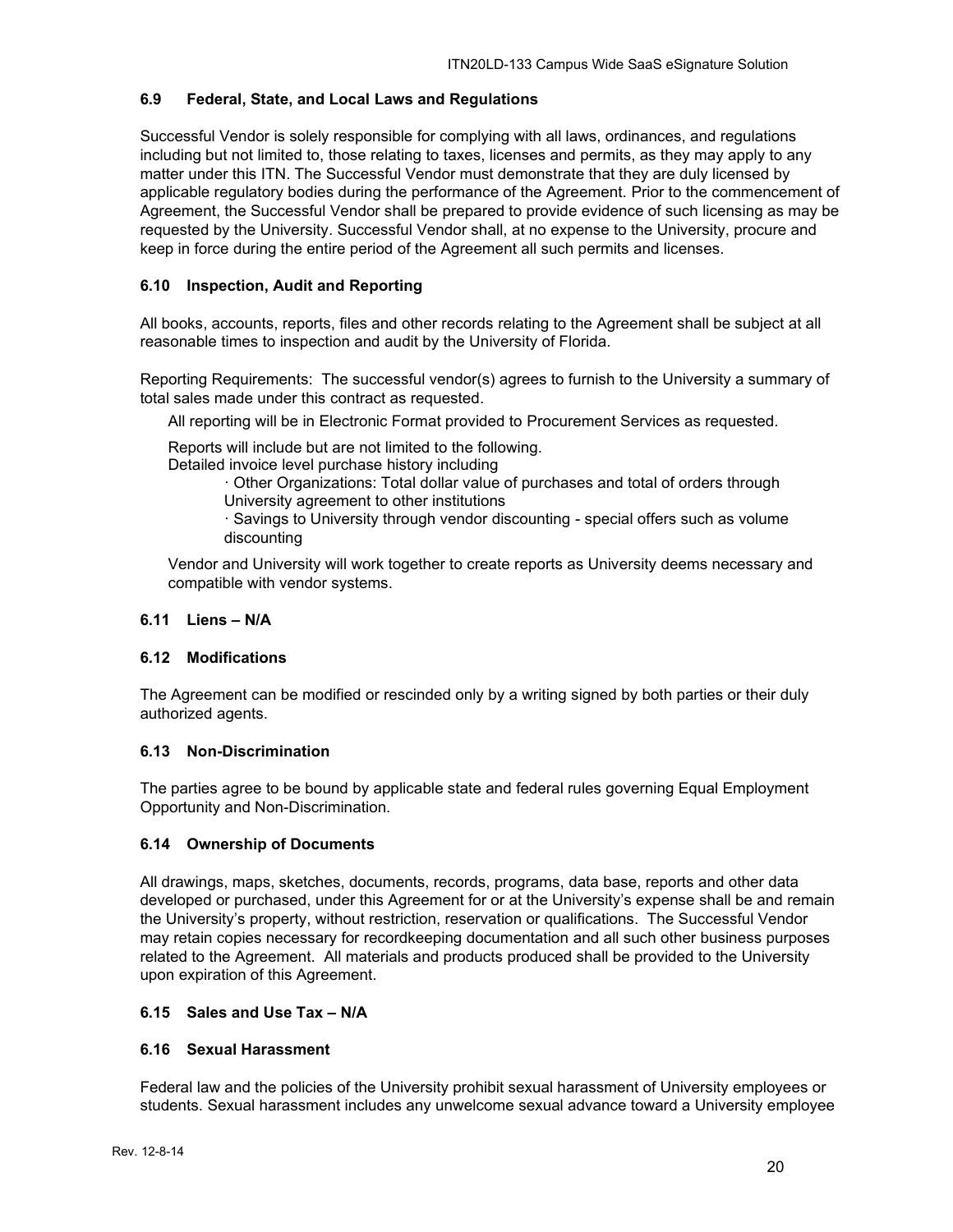#### <span id="page-19-0"></span>**6.9 Federal, State, and Local Laws and Regulations**

Successful Vendor is solely responsible for complying with all laws, ordinances, and regulations including but not limited to, those relating to taxes, licenses and permits, as they may apply to any matter under this ITN. The Successful Vendor must demonstrate that they are duly licensed by applicable regulatory bodies during the performance of the Agreement. Prior to the commencement of Agreement, the Successful Vendor shall be prepared to provide evidence of such licensing as may be requested by the University. Successful Vendor shall, at no expense to the University, procure and keep in force during the entire period of the Agreement all such permits and licenses.

## <span id="page-19-1"></span>**6.10 Inspection, Audit and Reporting**

All books, accounts, reports, files and other records relating to the Agreement shall be subject at all reasonable times to inspection and audit by the University of Florida.

Reporting Requirements: The successful vendor(s) agrees to furnish to the University a summary of total sales made under this contract as requested.

All reporting will be in Electronic Format provided to Procurement Services as requested.

Reports will include but are not limited to the following.

Detailed invoice level purchase history including

· Other Organizations: Total dollar value of purchases and total of orders through University agreement to other institutions

· Savings to University through vendor discounting - special offers such as volume discounting

Vendor and University will work together to create reports as University deems necessary and compatible with vendor systems.

#### <span id="page-19-2"></span>**6.11 Liens – N/A**

### <span id="page-19-3"></span>**6.12 Modifications**

The Agreement can be modified or rescinded only by a writing signed by both parties or their duly authorized agents.

#### <span id="page-19-4"></span>**6.13 Non-Discrimination**

The parties agree to be bound by applicable state and federal rules governing Equal Employment Opportunity and Non-Discrimination.

#### <span id="page-19-5"></span>**6.14 Ownership of Documents**

All drawings, maps, sketches, documents, records, programs, data base, reports and other data developed or purchased, under this Agreement for or at the University's expense shall be and remain the University's property, without restriction, reservation or qualifications. The Successful Vendor may retain copies necessary for recordkeeping documentation and all such other business purposes related to the Agreement. All materials and products produced shall be provided to the University upon expiration of this Agreement.

## <span id="page-19-6"></span>**6.15 Sales and Use Tax – N/A**

#### <span id="page-19-7"></span>**6.16 Sexual Harassment**

Federal law and the policies of the University prohibit sexual harassment of University employees or students. Sexual harassment includes any unwelcome sexual advance toward a University employee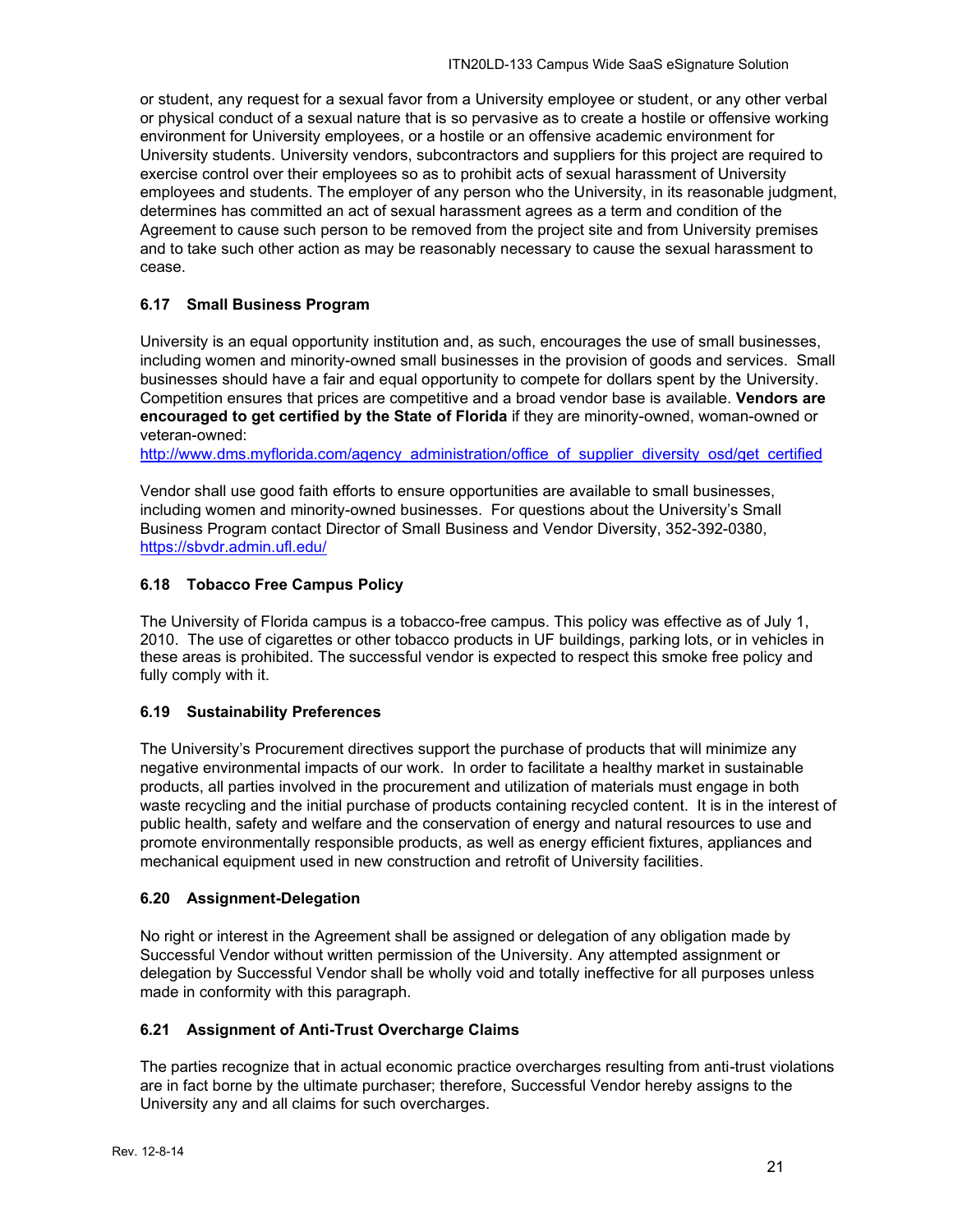or student, any request for a sexual favor from a University employee or student, or any other verbal or physical conduct of a sexual nature that is so pervasive as to create a hostile or offensive working environment for University employees, or a hostile or an offensive academic environment for University students. University vendors, subcontractors and suppliers for this project are required to exercise control over their employees so as to prohibit acts of sexual harassment of University employees and students. The employer of any person who the University, in its reasonable judgment, determines has committed an act of sexual harassment agrees as a term and condition of the Agreement to cause such person to be removed from the project site and from University premises and to take such other action as may be reasonably necessary to cause the sexual harassment to cease.

## <span id="page-20-0"></span>**6.17 Small Business Program**

University is an equal opportunity institution and, as such, encourages the use of small businesses, including women and minority-owned small businesses in the provision of goods and services. Small businesses should have a fair and equal opportunity to compete for dollars spent by the University. Competition ensures that prices are competitive and a broad vendor base is available. **Vendors are encouraged to get certified by the State of Florida** if they are minority-owned, woman-owned or veteran-owned:

[http://www.dms.myflorida.com/agency\\_administration/office\\_of\\_supplier\\_diversity\\_osd/get\\_certified](http://www.dms.myflorida.com/agency_administration/office_of_supplier_diversity_osd/get_certified)

Vendor shall use good faith efforts to ensure opportunities are available to small businesses, including women and minority-owned businesses. For questions about the University's Small Business Program contact Director of Small Business and Vendor Diversity, 352-392-0380, <https://sbvdr.admin.ufl.edu/>

## <span id="page-20-1"></span>**6.18 Tobacco Free Campus Policy**

The University of Florida campus is a tobacco-free campus. This policy was effective as of July 1, 2010. The use of cigarettes or other tobacco products in UF buildings, parking lots, or in vehicles in these areas is prohibited. The successful vendor is expected to respect this smoke free policy and fully comply with it.

## <span id="page-20-2"></span>**6.19 Sustainability Preferences**

The University's Procurement directives support the purchase of products that will minimize any negative environmental impacts of our work. In order to facilitate a healthy market in sustainable products, all parties involved in the procurement and utilization of materials must engage in both waste recycling and the initial purchase of products containing recycled content. It is in the interest of public health, safety and welfare and the conservation of energy and natural resources to use and promote environmentally responsible products, as well as energy efficient fixtures, appliances and mechanical equipment used in new construction and retrofit of University facilities.

## <span id="page-20-3"></span>**6.20 Assignment-Delegation**

No right or interest in the Agreement shall be assigned or delegation of any obligation made by Successful Vendor without written permission of the University. Any attempted assignment or delegation by Successful Vendor shall be wholly void and totally ineffective for all purposes unless made in conformity with this paragraph.

#### <span id="page-20-4"></span>**6.21 Assignment of Anti-Trust Overcharge Claims**

The parties recognize that in actual economic practice overcharges resulting from anti-trust violations are in fact borne by the ultimate purchaser; therefore, Successful Vendor hereby assigns to the University any and all claims for such overcharges.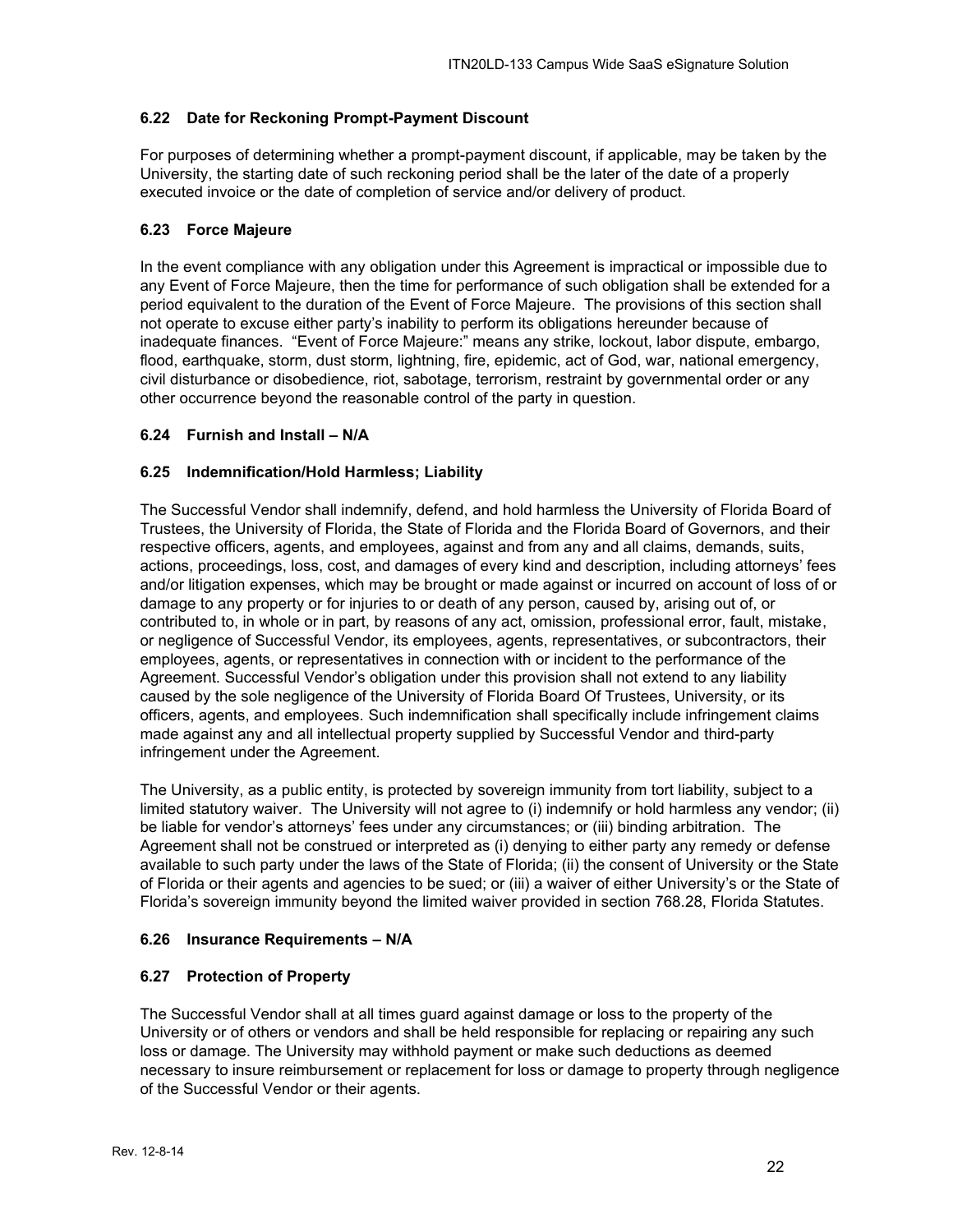## <span id="page-21-0"></span>**6.22 Date for Reckoning Prompt-Payment Discount**

For purposes of determining whether a prompt-payment discount, if applicable, may be taken by the University, the starting date of such reckoning period shall be the later of the date of a properly executed invoice or the date of completion of service and/or delivery of product.

## <span id="page-21-1"></span>**6.23 Force Majeure**

In the event compliance with any obligation under this Agreement is impractical or impossible due to any Event of Force Majeure, then the time for performance of such obligation shall be extended for a period equivalent to the duration of the Event of Force Majeure. The provisions of this section shall not operate to excuse either party's inability to perform its obligations hereunder because of inadequate finances. "Event of Force Majeure:" means any strike, lockout, labor dispute, embargo, flood, earthquake, storm, dust storm, lightning, fire, epidemic, act of God, war, national emergency, civil disturbance or disobedience, riot, sabotage, terrorism, restraint by governmental order or any other occurrence beyond the reasonable control of the party in question.

## <span id="page-21-2"></span>**6.24 Furnish and Install – N/A**

## <span id="page-21-3"></span>**6.25 Indemnification/Hold Harmless; Liability**

The Successful Vendor shall indemnify, defend, and hold harmless the University of Florida Board of Trustees, the University of Florida, the State of Florida and the Florida Board of Governors, and their respective officers, agents, and employees, against and from any and all claims, demands, suits, actions, proceedings, loss, cost, and damages of every kind and description, including attorneys' fees and/or litigation expenses, which may be brought or made against or incurred on account of loss of or damage to any property or for injuries to or death of any person, caused by, arising out of, or contributed to, in whole or in part, by reasons of any act, omission, professional error, fault, mistake, or negligence of Successful Vendor, its employees, agents, representatives, or subcontractors, their employees, agents, or representatives in connection with or incident to the performance of the Agreement. Successful Vendor's obligation under this provision shall not extend to any liability caused by the sole negligence of the University of Florida Board Of Trustees, University, or its officers, agents, and employees. Such indemnification shall specifically include infringement claims made against any and all intellectual property supplied by Successful Vendor and third-party infringement under the Agreement.

The University, as a public entity, is protected by sovereign immunity from tort liability, subject to a limited statutory waiver. The University will not agree to (i) indemnify or hold harmless any vendor; (ii) be liable for vendor's attorneys' fees under any circumstances; or (iii) binding arbitration. The Agreement shall not be construed or interpreted as (i) denying to either party any remedy or defense available to such party under the laws of the State of Florida; (ii) the consent of University or the State of Florida or their agents and agencies to be sued; or (iii) a waiver of either University's or the State of Florida's sovereign immunity beyond the limited waiver provided in section 768.28, Florida Statutes.

## <span id="page-21-4"></span>**6.26 Insurance Requirements – N/A**

## <span id="page-21-5"></span>**6.27 Protection of Property**

The Successful Vendor shall at all times guard against damage or loss to the property of the University or of others or vendors and shall be held responsible for replacing or repairing any such loss or damage. The University may withhold payment or make such deductions as deemed necessary to insure reimbursement or replacement for loss or damage to property through negligence of the Successful Vendor or their agents.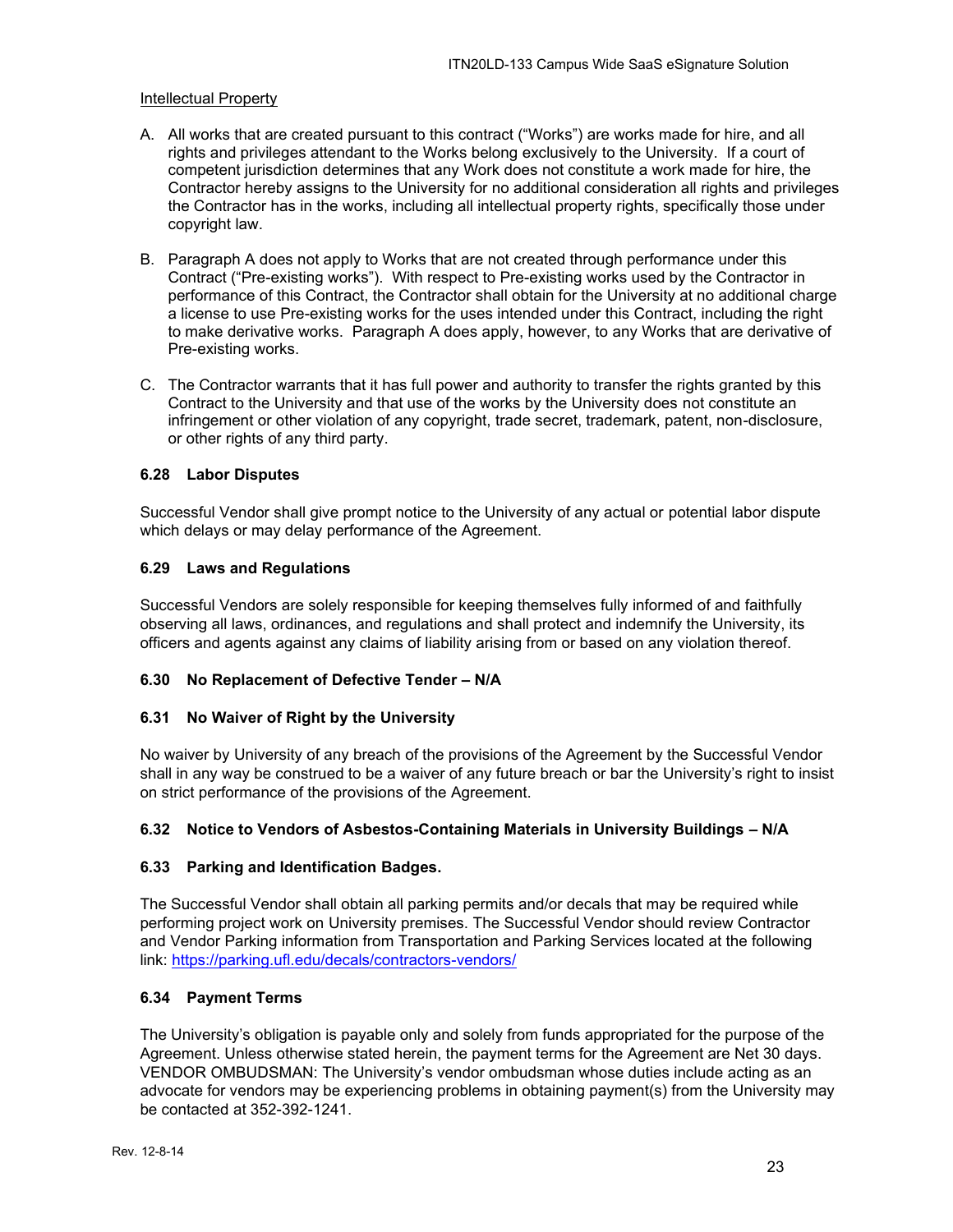#### Intellectual Property

- A. All works that are created pursuant to this contract ("Works") are works made for hire, and all rights and privileges attendant to the Works belong exclusively to the University. If a court of competent jurisdiction determines that any Work does not constitute a work made for hire, the Contractor hereby assigns to the University for no additional consideration all rights and privileges the Contractor has in the works, including all intellectual property rights, specifically those under copyright law.
- B. Paragraph A does not apply to Works that are not created through performance under this Contract ("Pre-existing works"). With respect to Pre-existing works used by the Contractor in performance of this Contract, the Contractor shall obtain for the University at no additional charge a license to use Pre-existing works for the uses intended under this Contract, including the right to make derivative works. Paragraph A does apply, however, to any Works that are derivative of Pre-existing works.
- C. The Contractor warrants that it has full power and authority to transfer the rights granted by this Contract to the University and that use of the works by the University does not constitute an infringement or other violation of any copyright, trade secret, trademark, patent, non-disclosure, or other rights of any third party.

## <span id="page-22-0"></span>**6.28 Labor Disputes**

Successful Vendor shall give prompt notice to the University of any actual or potential labor dispute which delays or may delay performance of the Agreement.

## <span id="page-22-1"></span>**6.29 Laws and Regulations**

Successful Vendors are solely responsible for keeping themselves fully informed of and faithfully observing all laws, ordinances, and regulations and shall protect and indemnify the University, its officers and agents against any claims of liability arising from or based on any violation thereof.

#### <span id="page-22-2"></span>**6.30 No Replacement of Defective Tender – N/A**

#### <span id="page-22-3"></span>**6.31 No Waiver of Right by the University**

No waiver by University of any breach of the provisions of the Agreement by the Successful Vendor shall in any way be construed to be a waiver of any future breach or bar the University's right to insist on strict performance of the provisions of the Agreement.

#### <span id="page-22-4"></span>**6.32 Notice to Vendors of Asbestos-Containing Materials in University Buildings – N/A**

#### <span id="page-22-5"></span>**6.33 Parking and Identification Badges.**

The Successful Vendor shall obtain all parking permits and/or decals that may be required while performing project work on University premises. The Successful Vendor should review Contractor and Vendor Parking information from Transportation and Parking Services located at the following link:<https://parking.ufl.edu/decals/contractors-vendors/>

#### <span id="page-22-6"></span>**6.34 Payment Terms**

The University's obligation is payable only and solely from funds appropriated for the purpose of the Agreement. Unless otherwise stated herein, the payment terms for the Agreement are Net 30 days. VENDOR OMBUDSMAN: The University's vendor ombudsman whose duties include acting as an advocate for vendors may be experiencing problems in obtaining payment(s) from the University may be contacted at 352-392-1241.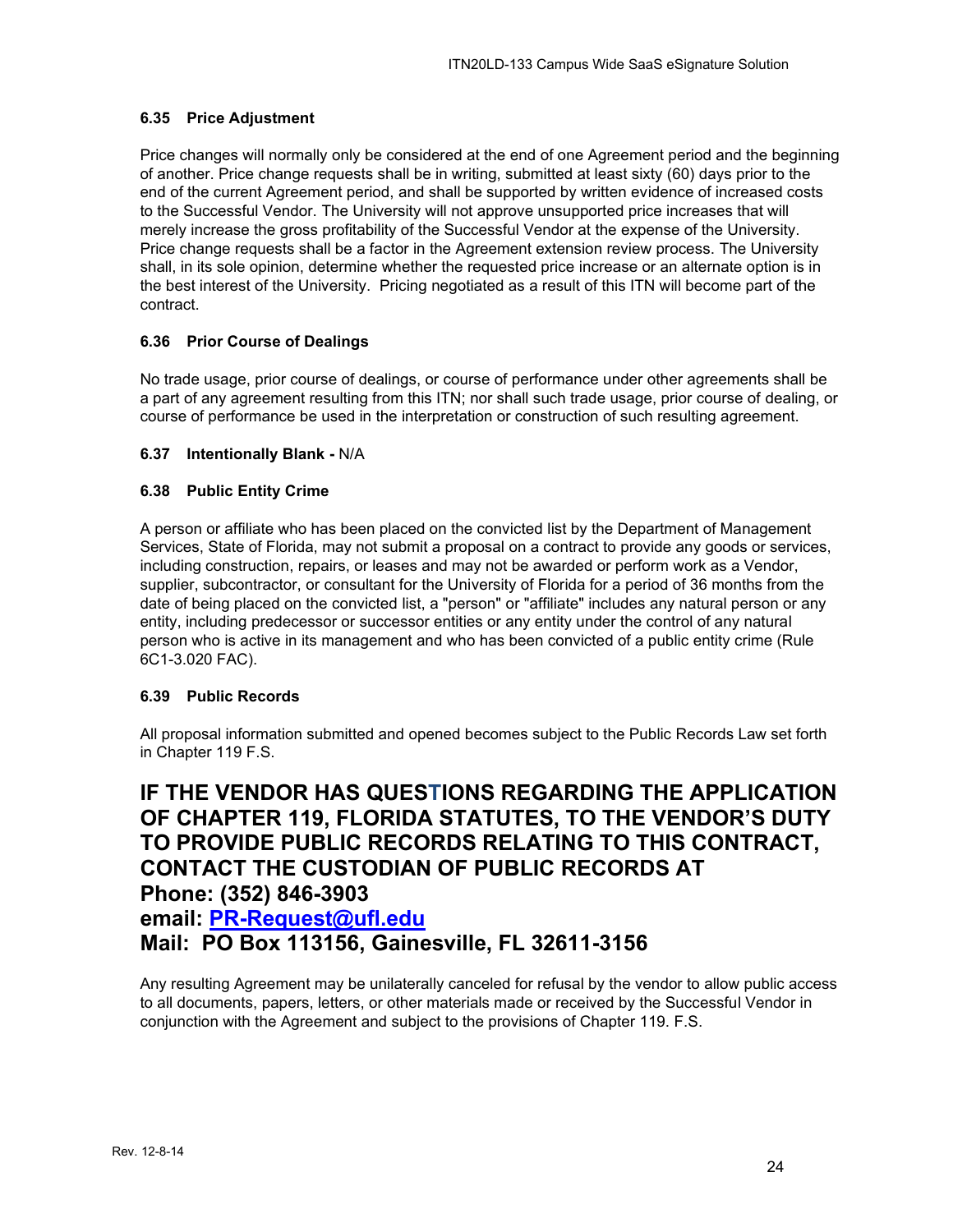## <span id="page-23-0"></span>**6.35 Price Adjustment**

Price changes will normally only be considered at the end of one Agreement period and the beginning of another. Price change requests shall be in writing, submitted at least sixty (60) days prior to the end of the current Agreement period, and shall be supported by written evidence of increased costs to the Successful Vendor. The University will not approve unsupported price increases that will merely increase the gross profitability of the Successful Vendor at the expense of the University. Price change requests shall be a factor in the Agreement extension review process. The University shall, in its sole opinion, determine whether the requested price increase or an alternate option is in the best interest of the University. Pricing negotiated as a result of this ITN will become part of the contract.

## <span id="page-23-1"></span>**6.36 Prior Course of Dealings**

No trade usage, prior course of dealings, or course of performance under other agreements shall be a part of any agreement resulting from this ITN; nor shall such trade usage, prior course of dealing, or course of performance be used in the interpretation or construction of such resulting agreement.

## <span id="page-23-2"></span>**6.37 Intentionally Blank -** N/A

## <span id="page-23-3"></span>**6.38 Public Entity Crime**

A person or affiliate who has been placed on the convicted list by the Department of Management Services, State of Florida, may not submit a proposal on a contract to provide any goods or services, including construction, repairs, or leases and may not be awarded or perform work as a Vendor, supplier, subcontractor, or consultant for the University of Florida for a period of 36 months from the date of being placed on the convicted list, a "person" or "affiliate" includes any natural person or any entity, including predecessor or successor entities or any entity under the control of any natural person who is active in its management and who has been convicted of a public entity crime (Rule 6C1-3.020 FAC).

#### <span id="page-23-4"></span>**6.39 Public Records**

All proposal information submitted and opened becomes subject to the Public Records Law set forth in Chapter 119 F.S.

## **IF THE VENDOR HAS QUESTIONS REGARDING THE APPLICATION OF CHAPTER 119, FLORIDA STATUTES, TO THE VENDOR'S DUTY TO PROVIDE PUBLIC RECORDS RELATING TO THIS CONTRACT, CONTACT THE CUSTODIAN OF PUBLIC RECORDS AT Phone: (352) 846-3903**

## **email: [PR-Request@ufl.edu](mailto:PR-Request@ufl.edu)**

**Mail: PO Box 113156, Gainesville, FL 32611-3156**

Any resulting Agreement may be unilaterally canceled for refusal by the vendor to allow public access to all documents, papers, letters, or other materials made or received by the Successful Vendor in conjunction with the Agreement and subject to the provisions of Chapter 119. F.S.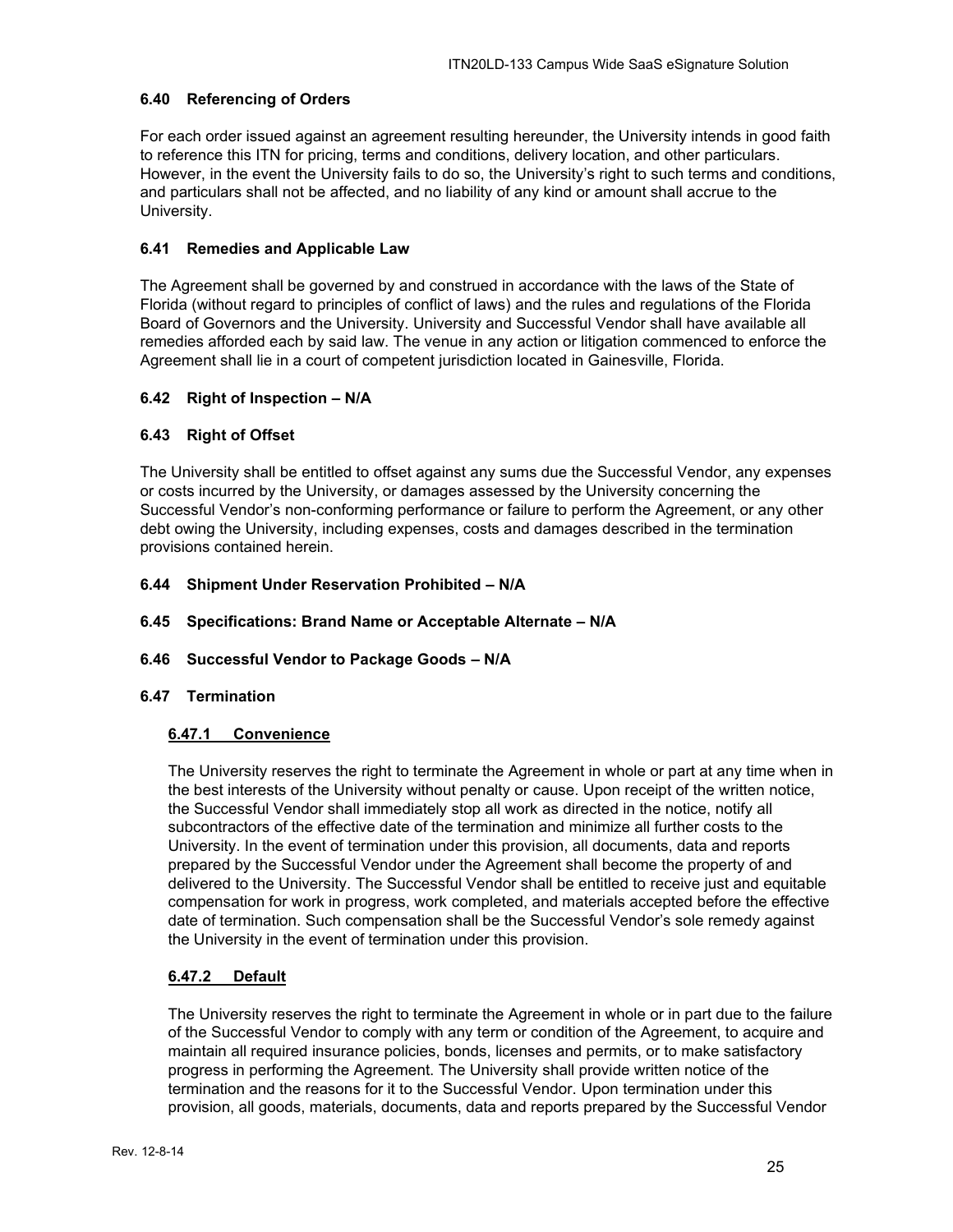## <span id="page-24-0"></span>**6.40 Referencing of Orders**

For each order issued against an agreement resulting hereunder, the University intends in good faith to reference this ITN for pricing, terms and conditions, delivery location, and other particulars. However, in the event the University fails to do so, the University's right to such terms and conditions, and particulars shall not be affected, and no liability of any kind or amount shall accrue to the University.

## <span id="page-24-1"></span>**6.41 Remedies and Applicable Law**

The Agreement shall be governed by and construed in accordance with the laws of the State of Florida (without regard to principles of conflict of laws) and the rules and regulations of the Florida Board of Governors and the University. University and Successful Vendor shall have available all remedies afforded each by said law. The venue in any action or litigation commenced to enforce the Agreement shall lie in a court of competent jurisdiction located in Gainesville, Florida.

## <span id="page-24-2"></span>**6.42 Right of Inspection – N/A**

## <span id="page-24-3"></span>**6.43 Right of Offset**

The University shall be entitled to offset against any sums due the Successful Vendor, any expenses or costs incurred by the University, or damages assessed by the University concerning the Successful Vendor's non-conforming performance or failure to perform the Agreement, or any other debt owing the University, including expenses, costs and damages described in the termination provisions contained herein.

## <span id="page-24-4"></span>**6.44 Shipment Under Reservation Prohibited – N/A**

<span id="page-24-5"></span>**6.45 Specifications: Brand Name or Acceptable Alternate – N/A**

#### <span id="page-24-6"></span>**6.46 Successful Vendor to Package Goods – N/A**

#### <span id="page-24-8"></span><span id="page-24-7"></span>**6.47 Termination**

#### **6.47.1 Convenience**

The University reserves the right to terminate the Agreement in whole or part at any time when in the best interests of the University without penalty or cause. Upon receipt of the written notice, the Successful Vendor shall immediately stop all work as directed in the notice, notify all subcontractors of the effective date of the termination and minimize all further costs to the University. In the event of termination under this provision, all documents, data and reports prepared by the Successful Vendor under the Agreement shall become the property of and delivered to the University. The Successful Vendor shall be entitled to receive just and equitable compensation for work in progress, work completed, and materials accepted before the effective date of termination. Such compensation shall be the Successful Vendor's sole remedy against the University in the event of termination under this provision.

#### <span id="page-24-9"></span>**6.47.2 Default**

The University reserves the right to terminate the Agreement in whole or in part due to the failure of the Successful Vendor to comply with any term or condition of the Agreement, to acquire and maintain all required insurance policies, bonds, licenses and permits, or to make satisfactory progress in performing the Agreement. The University shall provide written notice of the termination and the reasons for it to the Successful Vendor. Upon termination under this provision, all goods, materials, documents, data and reports prepared by the Successful Vendor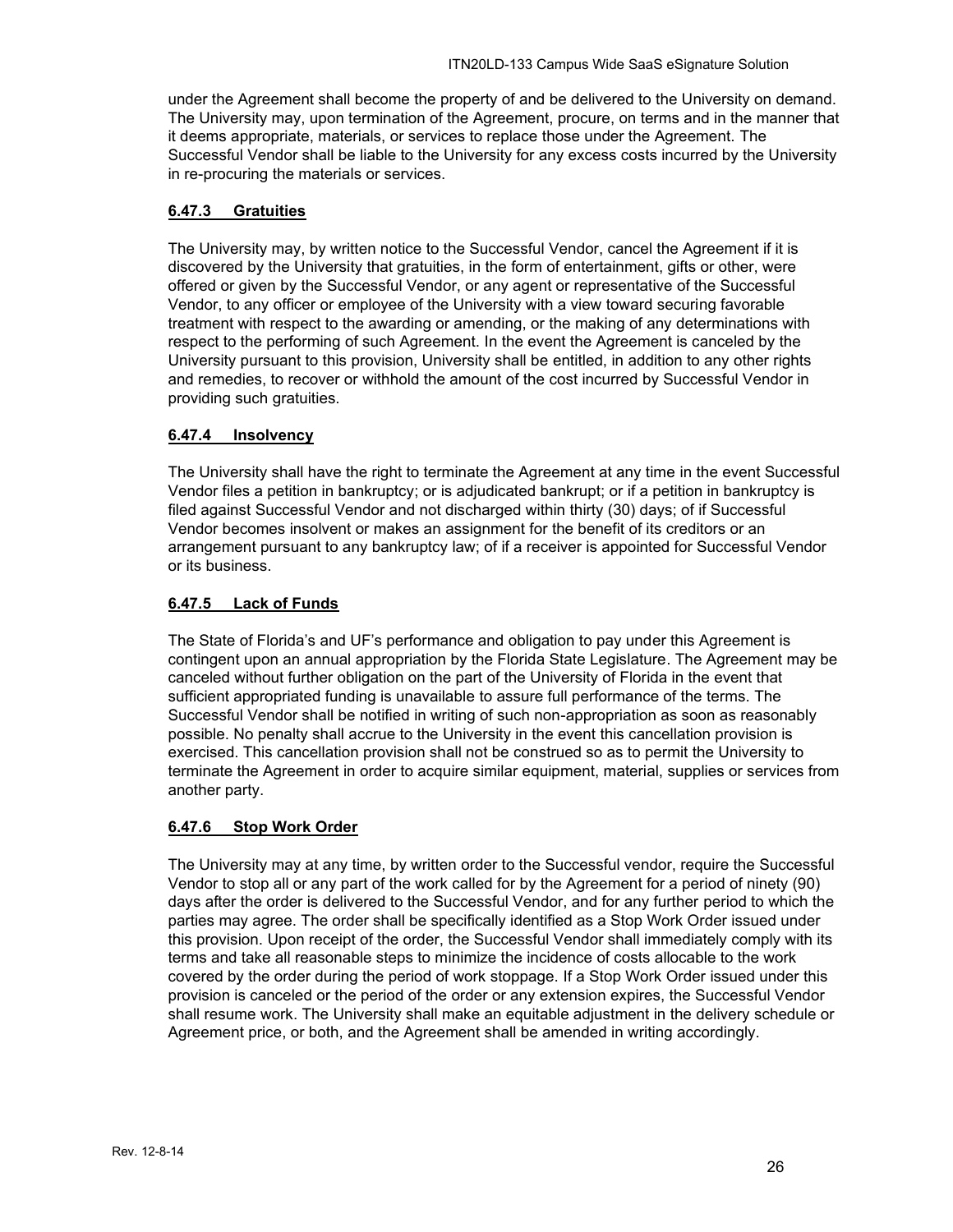under the Agreement shall become the property of and be delivered to the University on demand. The University may, upon termination of the Agreement, procure, on terms and in the manner that it deems appropriate, materials, or services to replace those under the Agreement. The Successful Vendor shall be liable to the University for any excess costs incurred by the University in re-procuring the materials or services.

## <span id="page-25-0"></span>**6.47.3 Gratuities**

The University may, by written notice to the Successful Vendor, cancel the Agreement if it is discovered by the University that gratuities, in the form of entertainment, gifts or other, were offered or given by the Successful Vendor, or any agent or representative of the Successful Vendor, to any officer or employee of the University with a view toward securing favorable treatment with respect to the awarding or amending, or the making of any determinations with respect to the performing of such Agreement. In the event the Agreement is canceled by the University pursuant to this provision, University shall be entitled, in addition to any other rights and remedies, to recover or withhold the amount of the cost incurred by Successful Vendor in providing such gratuities.

## <span id="page-25-1"></span>**6.47.4 Insolvency**

The University shall have the right to terminate the Agreement at any time in the event Successful Vendor files a petition in bankruptcy; or is adjudicated bankrupt; or if a petition in bankruptcy is filed against Successful Vendor and not discharged within thirty (30) days; of if Successful Vendor becomes insolvent or makes an assignment for the benefit of its creditors or an arrangement pursuant to any bankruptcy law; of if a receiver is appointed for Successful Vendor or its business.

## <span id="page-25-2"></span>**6.47.5 Lack of Funds**

The State of Florida's and UF's performance and obligation to pay under this Agreement is contingent upon an annual appropriation by the Florida State Legislature. The Agreement may be canceled without further obligation on the part of the University of Florida in the event that sufficient appropriated funding is unavailable to assure full performance of the terms. The Successful Vendor shall be notified in writing of such non-appropriation as soon as reasonably possible. No penalty shall accrue to the University in the event this cancellation provision is exercised. This cancellation provision shall not be construed so as to permit the University to terminate the Agreement in order to acquire similar equipment, material, supplies or services from another party.

#### <span id="page-25-3"></span>**6.47.6 Stop Work Order**

The University may at any time, by written order to the Successful vendor, require the Successful Vendor to stop all or any part of the work called for by the Agreement for a period of ninety (90) days after the order is delivered to the Successful Vendor, and for any further period to which the parties may agree. The order shall be specifically identified as a Stop Work Order issued under this provision. Upon receipt of the order, the Successful Vendor shall immediately comply with its terms and take all reasonable steps to minimize the incidence of costs allocable to the work covered by the order during the period of work stoppage. If a Stop Work Order issued under this provision is canceled or the period of the order or any extension expires, the Successful Vendor shall resume work. The University shall make an equitable adjustment in the delivery schedule or Agreement price, or both, and the Agreement shall be amended in writing accordingly.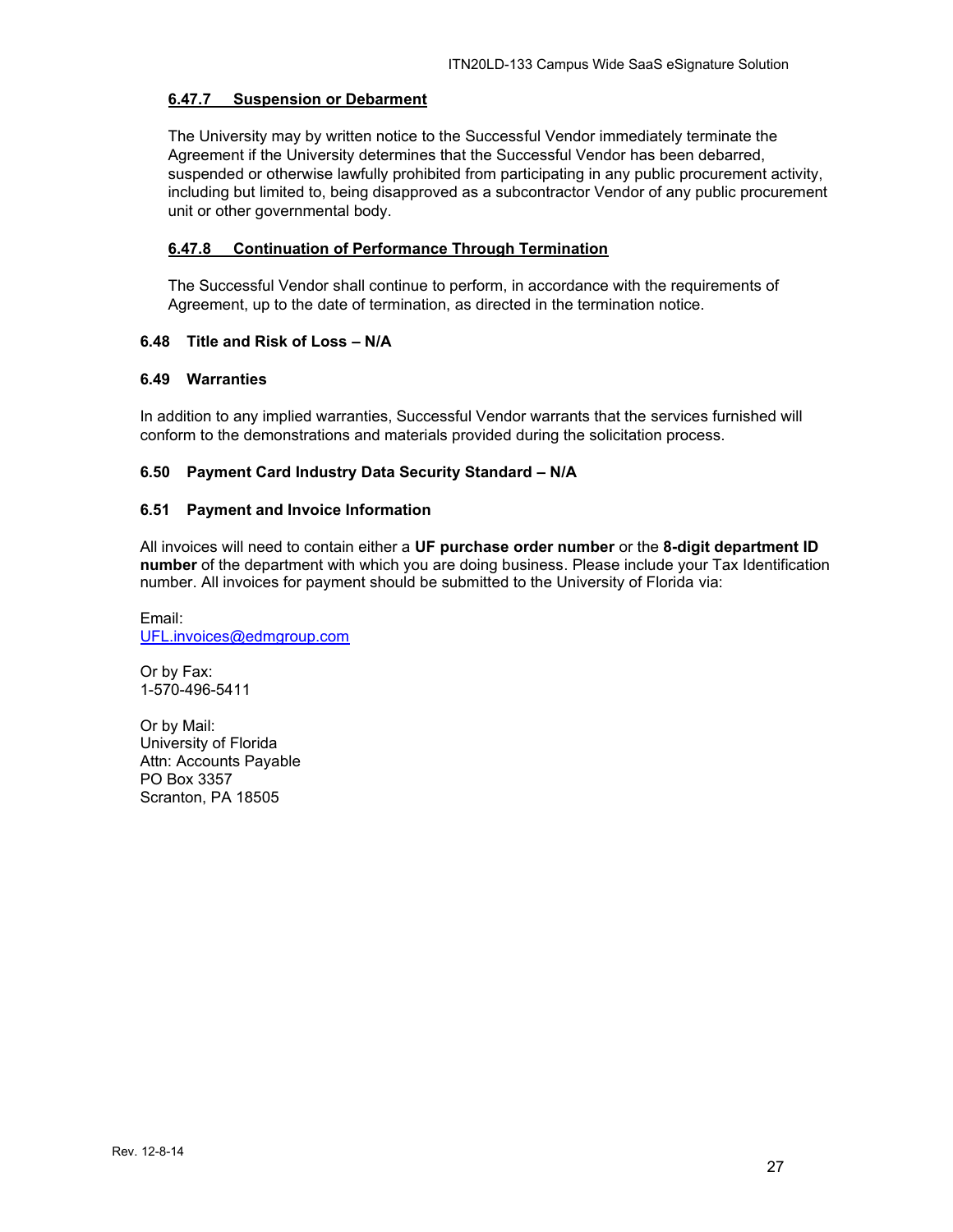## <span id="page-26-0"></span>**6.47.7 Suspension or Debarment**

The University may by written notice to the Successful Vendor immediately terminate the Agreement if the University determines that the Successful Vendor has been debarred, suspended or otherwise lawfully prohibited from participating in any public procurement activity, including but limited to, being disapproved as a subcontractor Vendor of any public procurement unit or other governmental body.

## <span id="page-26-1"></span>**6.47.8 Continuation of Performance Through Termination**

The Successful Vendor shall continue to perform, in accordance with the requirements of Agreement, up to the date of termination, as directed in the termination notice.

## <span id="page-26-2"></span>**6.48 Title and Risk of Loss – N/A**

## <span id="page-26-3"></span>**6.49 Warranties**

In addition to any implied warranties, Successful Vendor warrants that the services furnished will conform to the demonstrations and materials provided during the solicitation process.

#### <span id="page-26-4"></span>**6.50 Payment Card Industry Data Security Standard – N/A**

#### <span id="page-26-5"></span>**6.51 Payment and Invoice Information**

All invoices will need to contain either a **UF purchase order number** or the **8-digit department ID number** of the department with which you are doing business. Please include your Tax Identification number. All invoices for payment should be submitted to the University of Florida via:

Email: [UFL.invoices@edmgroup.com](mailto:UFL.invoices@edmgroup.com)

Or by Fax: 1-570-496-5411

Or by Mail: University of Florida Attn: Accounts Payable PO Box 3357 Scranton, PA 18505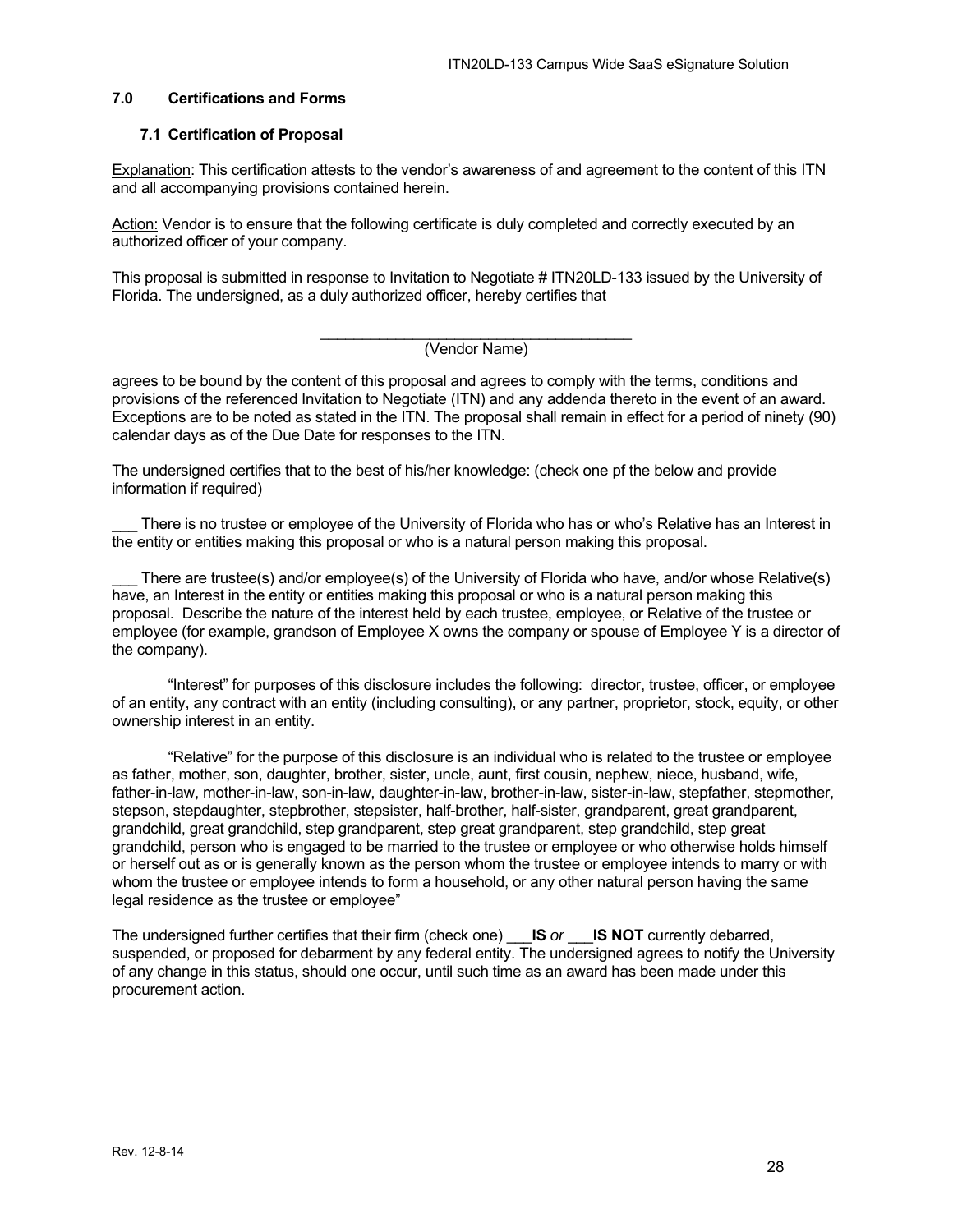#### <span id="page-27-0"></span>**7.0 Certifications and Forms**

#### <span id="page-27-1"></span>**7.1 Certification of Proposal**

Explanation: This certification attests to the vendor's awareness of and agreement to the content of this ITN and all accompanying provisions contained herein.

Action: Vendor is to ensure that the following certificate is duly completed and correctly executed by an authorized officer of your company.

This proposal is submitted in response to Invitation to Negotiate # ITN20LD-133 issued by the University of Florida. The undersigned, as a duly authorized officer, hereby certifies that

#### \_\_\_\_\_\_\_\_\_\_\_\_\_\_\_\_\_\_\_\_\_\_\_\_\_\_\_\_\_\_\_\_\_\_\_\_\_ (Vendor Name)

agrees to be bound by the content of this proposal and agrees to comply with the terms, conditions and provisions of the referenced Invitation to Negotiate (ITN) and any addenda thereto in the event of an award. Exceptions are to be noted as stated in the ITN. The proposal shall remain in effect for a period of ninety (90) calendar days as of the Due Date for responses to the ITN.

The undersigned certifies that to the best of his/her knowledge: (check one pf the below and provide information if required)

There is no trustee or employee of the University of Florida who has or who's Relative has an Interest in the entity or entities making this proposal or who is a natural person making this proposal.

There are trustee(s) and/or employee(s) of the University of Florida who have, and/or whose Relative(s) have, an Interest in the entity or entities making this proposal or who is a natural person making this proposal. Describe the nature of the interest held by each trustee, employee, or Relative of the trustee or employee (for example, grandson of Employee X owns the company or spouse of Employee Y is a director of the company).

"Interest" for purposes of this disclosure includes the following: director, trustee, officer, or employee of an entity, any contract with an entity (including consulting), or any partner, proprietor, stock, equity, or other ownership interest in an entity.

"Relative" for the purpose of this disclosure is an individual who is related to the trustee or employee as father, mother, son, daughter, brother, sister, uncle, aunt, first cousin, nephew, niece, husband, wife, father-in-law, mother-in-law, son-in-law, daughter-in-law, brother-in-law, sister-in-law, stepfather, stepmother, stepson, stepdaughter, stepbrother, stepsister, half-brother, half-sister, grandparent, great grandparent, grandchild, great grandchild, step grandparent, step great grandparent, step grandchild, step great grandchild, person who is engaged to be married to the trustee or employee or who otherwise holds himself or herself out as or is generally known as the person whom the trustee or employee intends to marry or with whom the trustee or employee intends to form a household, or any other natural person having the same legal residence as the trustee or employee"

The undersigned further certifies that their firm (check one) \_\_\_**IS** *or* \_\_\_**IS NOT** currently debarred, suspended, or proposed for debarment by any federal entity. The undersigned agrees to notify the University of any change in this status, should one occur, until such time as an award has been made under this procurement action.